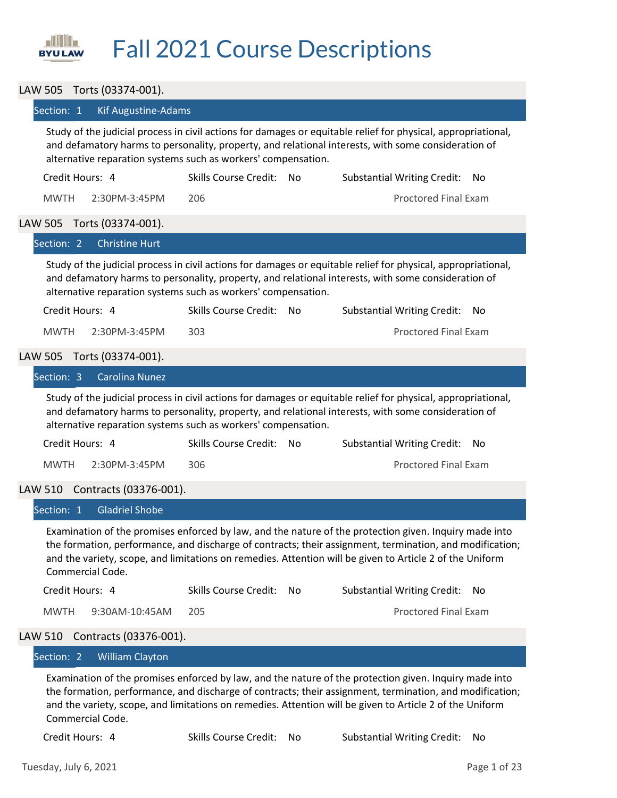

# Fall 2021 Course Descriptions

## LAW 505 Torts (03374‐001).

#### Section: 1 Kif Augustine-Adams

Study of the judicial process in civil actions for damages or equitable relief for physical, appropriational, and defamatory harms to personality, property, and relational interests, with some consideration of alternative reparation systems such as workers' compensation.

| Credit Hours: 4 |               | Skills Course Credit: No | Substantial Writing Credit: No |
|-----------------|---------------|--------------------------|--------------------------------|
| MWTH            | 2:30PM-3:45PM | 206                      | <b>Proctored Final Exam</b>    |

#### LAW 505 Torts (03374‐001).

|                 | Section: 2 Christine Hurt  |                                                               |                                                                                                                                                                                                                      |     |
|-----------------|----------------------------|---------------------------------------------------------------|----------------------------------------------------------------------------------------------------------------------------------------------------------------------------------------------------------------------|-----|
|                 |                            | alternative reparation systems such as workers' compensation. | Study of the judicial process in civil actions for damages or equitable relief for physical, appropriational,<br>and defamatory harms to personality, property, and relational interests, with some consideration of |     |
| Credit Hours: 4 |                            | Skills Course Credit: No                                      | <b>Substantial Writing Credit:</b>                                                                                                                                                                                   | No. |
| <b>MWTH</b>     | 2:30PM-3:45PM              | 303                                                           | <b>Proctored Final Exam</b>                                                                                                                                                                                          |     |
|                 | LAW 505 Torts (03374-001). |                                                               |                                                                                                                                                                                                                      |     |
|                 | Section: 3 Carolina Nunez  |                                                               |                                                                                                                                                                                                                      |     |
|                 |                            |                                                               | Study of the judicial process in civil actions for damages or equitable relief for physical, appropriational,<br>and defamatory harms to personality, property, and relational interests, with some consideration of |     |

alternative reparation systems such as workers' compensation.

| Credit Hours: 4 |               | Skills Course Credit: No | Substantial Writing Credit: No |
|-----------------|---------------|--------------------------|--------------------------------|
| MWTH            | 2:30PM-3:45PM | 306                      | <b>Proctored Final Exam</b>    |

## LAW 510 Contracts (03376‐001).

| Section: 1 Gladriel Shobe |                          |                                                                                                                                                                                                                                                                                                                                |
|---------------------------|--------------------------|--------------------------------------------------------------------------------------------------------------------------------------------------------------------------------------------------------------------------------------------------------------------------------------------------------------------------------|
| Commercial Code.          |                          | Examination of the promises enforced by law, and the nature of the protection given. Inquiry made into<br>the formation, performance, and discharge of contracts; their assignment, termination, and modification;<br>and the variety, scope, and limitations on remedies. Attention will be given to Article 2 of the Uniform |
| Credit Hours: 4           | Skills Course Credit: No | Substantial Writing Credit: No                                                                                                                                                                                                                                                                                                 |
| 9:30AM-10:45AM<br>MWTH.   | 205                      | Proctored Final Exam                                                                                                                                                                                                                                                                                                           |

# LAW 510 Contracts (03376‐001).

# Section: 2 William Clayton

Examination of the promises enforced by law, and the nature of the protection given. Inquiry made into the formation, performance, and discharge of contracts; their assignment, termination, and modification; and the variety, scope, and limitations on remedies. Attention will be given to Article 2 of the Uniform Commercial Code.

Credit Hours: 4 Skills Course Credit: No Substantial Writing Credit: No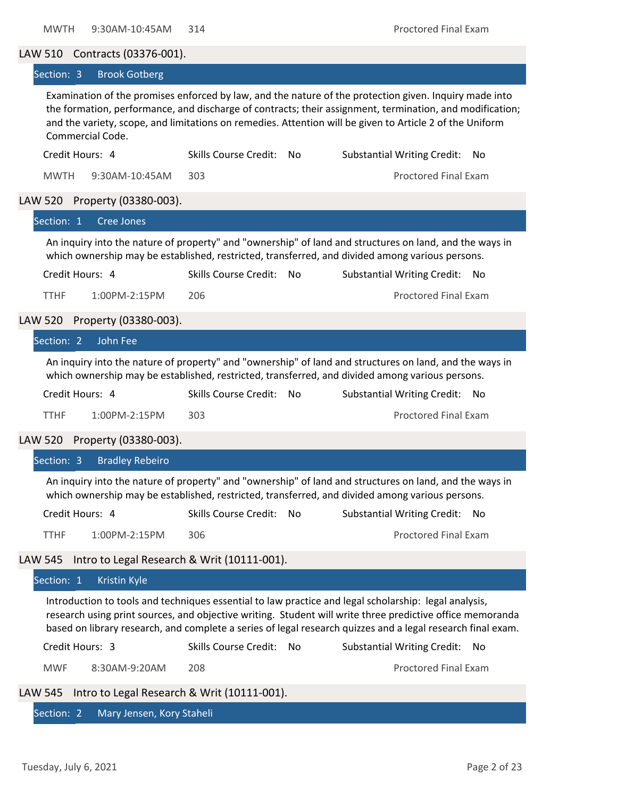# LAW 510 Contracts (03376‐001).

#### Section: 3 Brook Gotberg

Examination of the promises enforced by law, and the nature of the protection given. Inquiry made into the formation, performance, and discharge of contracts; their assignment, termination, and modification; and the variety, scope, and limitations on remedies. Attention will be given to Article 2 of the Uniform Commercial Code.

| Credit Hours: 4 |                    | Skills Course Credit: No | Substantial Writing Credit: No |
|-----------------|--------------------|--------------------------|--------------------------------|
| MWTH            | 9:30AM-10:45AM 303 |                          | Proctored Final Exam           |

## LAW 520 Property (03380‐003).

| lSection: 1                                                                                                                                                                                                | Cree Jones                    |                          |  |                                            |  |  |
|------------------------------------------------------------------------------------------------------------------------------------------------------------------------------------------------------------|-------------------------------|--------------------------|--|--------------------------------------------|--|--|
| An inquiry into the nature of property" and "ownership" of land and structures on land, and the ways in<br>which ownership may be established, restricted, transferred, and divided among various persons. |                               |                          |  |                                            |  |  |
|                                                                                                                                                                                                            | Credit Hours: 4               | Skills Course Credit: No |  | <b>Substantial Writing Credit:</b><br>- No |  |  |
| TTHF                                                                                                                                                                                                       | $1:00PM - 2:15PM$             | 206                      |  | <b>Proctored Final Exam</b>                |  |  |
|                                                                                                                                                                                                            | LAW 520 Property (03380-003). |                          |  |                                            |  |  |
| Section: 2                                                                                                                                                                                                 | – John Feel                   |                          |  |                                            |  |  |

An inquiry into the nature of property" and "ownership" of land and structures on land, and the ways in which ownership may be established, restricted, transferred, and divided among various persons.

| Credit Hours: 4 |               | Skills Course Credit: No | Substantial Writing Credit: No |  |
|-----------------|---------------|--------------------------|--------------------------------|--|
| <b>TTHF</b>     | 1:00PM-2:15PM | 303                      | <b>Proctored Final Exam</b>    |  |

LAW 520 Property (03380‐003).

|             | LAW 320 PIUDEILY (USSOU-UUS).                       |                          |                                                                                                                                                                                                                                                                                                                                   |     |
|-------------|-----------------------------------------------------|--------------------------|-----------------------------------------------------------------------------------------------------------------------------------------------------------------------------------------------------------------------------------------------------------------------------------------------------------------------------------|-----|
|             | Section: 3 Bradley Rebeiro                          |                          |                                                                                                                                                                                                                                                                                                                                   |     |
|             |                                                     |                          | An inquiry into the nature of property" and "ownership" of land and structures on land, and the ways in<br>which ownership may be established, restricted, transferred, and divided among various persons.                                                                                                                        |     |
|             | Credit Hours: 4                                     | Skills Course Credit: No | <b>Substantial Writing Credit:</b>                                                                                                                                                                                                                                                                                                | No  |
| <b>TTHF</b> | 1:00PM-2:15PM                                       | 306                      | Proctored Final Exam                                                                                                                                                                                                                                                                                                              |     |
|             |                                                     |                          |                                                                                                                                                                                                                                                                                                                                   |     |
|             | LAW 545 Intro to Legal Research & Writ (10111-001). |                          |                                                                                                                                                                                                                                                                                                                                   |     |
| Section: 1  | <b>Kristin Kyle</b>                                 |                          |                                                                                                                                                                                                                                                                                                                                   |     |
|             |                                                     |                          | Introduction to tools and techniques essential to law practice and legal scholarship: legal analysis,<br>research using print sources, and objective writing. Student will write three predictive office memoranda<br>based on library research, and complete a series of legal research quizzes and a legal research final exam. |     |
|             | Credit Hours: 3                                     | Skills Course Credit: No | <b>Substantial Writing Credit:</b>                                                                                                                                                                                                                                                                                                | No. |
| <b>MWF</b>  | 8:30AM-9:20AM                                       | 208                      | <b>Proctored Final Exam</b>                                                                                                                                                                                                                                                                                                       |     |

Section: 2 Mary Jensen, Kory Staheli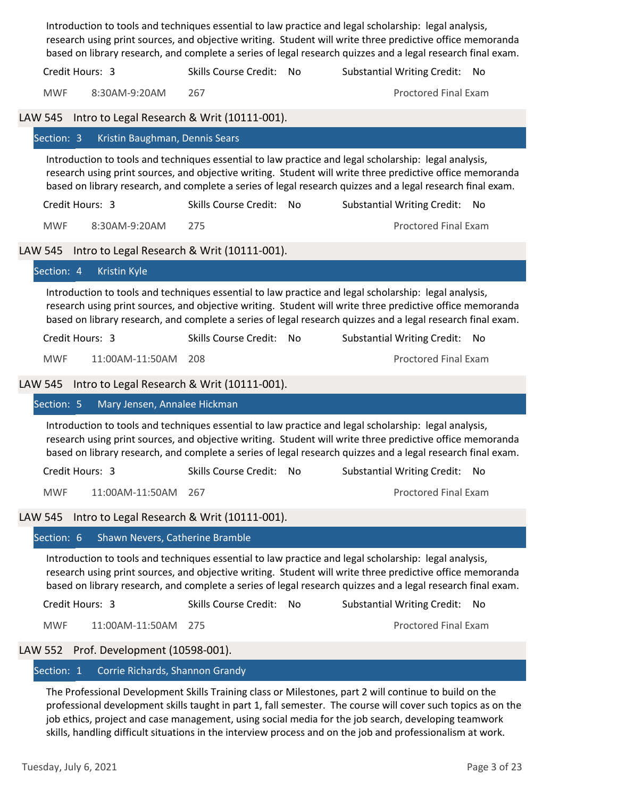|                |                                             |                              |    | Introduction to tools and techniques essential to law practice and legal scholarship: legal analysis,<br>research using print sources, and objective writing. Student will write three predictive office memoranda<br>based on library research, and complete a series of legal research quizzes and a legal research final exam. |  |
|----------------|---------------------------------------------|------------------------------|----|-----------------------------------------------------------------------------------------------------------------------------------------------------------------------------------------------------------------------------------------------------------------------------------------------------------------------------------|--|
|                | Credit Hours: 3                             | Skills Course Credit: No     |    | Substantial Writing Credit: No                                                                                                                                                                                                                                                                                                    |  |
| <b>MWF</b>     | 8:30AM-9:20AM                               | 267                          |    | <b>Proctored Final Exam</b>                                                                                                                                                                                                                                                                                                       |  |
| <b>LAW 545</b> | Intro to Legal Research & Writ (10111-001). |                              |    |                                                                                                                                                                                                                                                                                                                                   |  |
| Section: 3     | Kristin Baughman, Dennis Sears              |                              |    |                                                                                                                                                                                                                                                                                                                                   |  |
|                |                                             |                              |    | Introduction to tools and techniques essential to law practice and legal scholarship: legal analysis,<br>research using print sources, and objective writing. Student will write three predictive office memoranda<br>based on library research, and complete a series of legal research quizzes and a legal research final exam. |  |
|                | Credit Hours: 3                             | Skills Course Credit: No     |    | <b>Substantial Writing Credit:</b><br>No.                                                                                                                                                                                                                                                                                         |  |
| <b>MWF</b>     | 8:30AM-9:20AM                               | 275                          |    | <b>Proctored Final Exam</b>                                                                                                                                                                                                                                                                                                       |  |
| <b>LAW 545</b> | Intro to Legal Research & Writ (10111-001). |                              |    |                                                                                                                                                                                                                                                                                                                                   |  |
| Section: 4     | Kristin Kyle                                |                              |    |                                                                                                                                                                                                                                                                                                                                   |  |
|                |                                             |                              |    | Introduction to tools and techniques essential to law practice and legal scholarship: legal analysis,<br>research using print sources, and objective writing. Student will write three predictive office memoranda<br>based on library research, and complete a series of legal research quizzes and a legal research final exam. |  |
|                | Credit Hours: 3                             | Skills Course Credit: No     |    | <b>Substantial Writing Credit:</b><br>No.                                                                                                                                                                                                                                                                                         |  |
| <b>MWF</b>     | 11:00AM-11:50AM                             | 208                          |    | <b>Proctored Final Exam</b>                                                                                                                                                                                                                                                                                                       |  |
| <b>LAW 545</b> | Intro to Legal Research & Writ (10111-001). |                              |    |                                                                                                                                                                                                                                                                                                                                   |  |
| Section: 5     | Mary Jensen, Annalee Hickman                |                              |    |                                                                                                                                                                                                                                                                                                                                   |  |
|                |                                             |                              |    | Introduction to tools and techniques essential to law practice and legal scholarship: legal analysis,<br>research using print sources, and objective writing. Student will write three predictive office memoranda<br>based on library research, and complete a series of legal research quizzes and a legal research final exam. |  |
|                |                                             |                              |    | Credit Hours: 3 Skills Course Credit: No Substantial Writing Credit: No                                                                                                                                                                                                                                                           |  |
| <b>MWF</b>     | 11:00AM-11:50AM                             | 267                          |    | <b>Proctored Final Exam</b>                                                                                                                                                                                                                                                                                                       |  |
| <b>LAW 545</b> | Intro to Legal Research & Writ (10111-001). |                              |    |                                                                                                                                                                                                                                                                                                                                   |  |
| Section: 6     | Shawn Nevers, Catherine Bramble             |                              |    |                                                                                                                                                                                                                                                                                                                                   |  |
|                |                                             |                              |    | Introduction to tools and techniques essential to law practice and legal scholarship: legal analysis,<br>research using print sources, and objective writing. Student will write three predictive office memoranda<br>based on library research, and complete a series of legal research quizzes and a legal research final exam. |  |
|                | Credit Hours: 3                             | <b>Skills Course Credit:</b> | No | <b>Substantial Writing Credit:</b><br>No                                                                                                                                                                                                                                                                                          |  |
| <b>MWF</b>     | 11:00AM-11:50AM                             | 275                          |    | <b>Proctored Final Exam</b>                                                                                                                                                                                                                                                                                                       |  |
| <b>LAW 552</b> | Prof. Development (10598-001).              |                              |    |                                                                                                                                                                                                                                                                                                                                   |  |
| Section: 1     | Corrie Richards, Shannon Grandy             |                              |    |                                                                                                                                                                                                                                                                                                                                   |  |

The Professional Development Skills Training class or Milestones, part 2 will continue to build on the professional development skills taught in part 1, fall semester. The course will cover such topics as on the job ethics, project and case management, using social media for the job search, developing teamwork skills, handling difficult situations in the interview process and on the job and professionalism at work.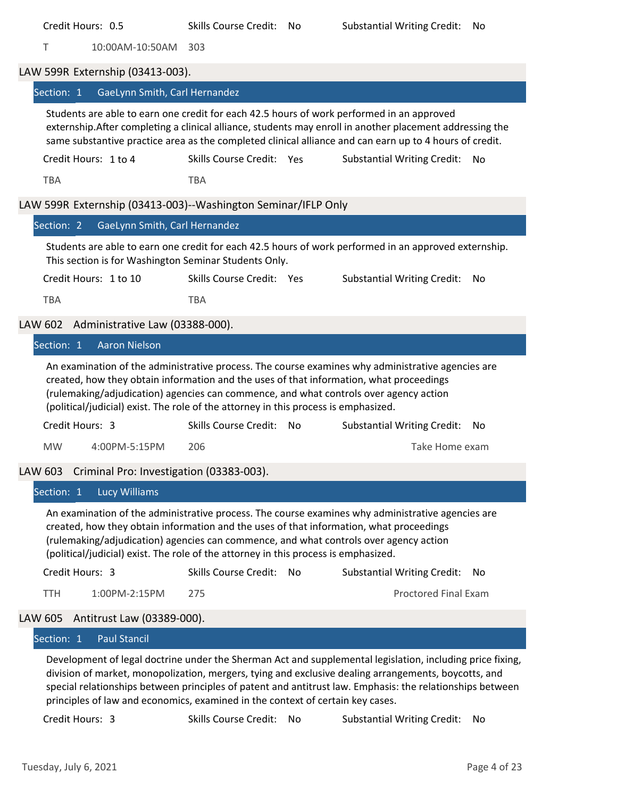|                | T               | 10:00AM-10:50AM                          | 303                                                                                 |                                                                                                                                                                                                                                                                                                                                |     |
|----------------|-----------------|------------------------------------------|-------------------------------------------------------------------------------------|--------------------------------------------------------------------------------------------------------------------------------------------------------------------------------------------------------------------------------------------------------------------------------------------------------------------------------|-----|
|                |                 | LAW 599R Externship (03413-003).         |                                                                                     |                                                                                                                                                                                                                                                                                                                                |     |
|                | Section: 1      | GaeLynn Smith, Carl Hernandez            |                                                                                     |                                                                                                                                                                                                                                                                                                                                |     |
|                |                 |                                          |                                                                                     | Students are able to earn one credit for each 42.5 hours of work performed in an approved<br>externship. After completing a clinical alliance, students may enroll in another placement addressing the<br>same substantive practice area as the completed clinical alliance and can earn up to 4 hours of credit.              |     |
|                |                 | Credit Hours: 1 to 4                     | Skills Course Credit: Yes                                                           | <b>Substantial Writing Credit:</b>                                                                                                                                                                                                                                                                                             | No  |
|                | <b>TBA</b>      |                                          | <b>TBA</b>                                                                          |                                                                                                                                                                                                                                                                                                                                |     |
|                |                 |                                          | LAW 599R Externship (03413-003)--Washington Seminar/IFLP Only                       |                                                                                                                                                                                                                                                                                                                                |     |
|                | Section: 2      | GaeLynn Smith, Carl Hernandez            |                                                                                     |                                                                                                                                                                                                                                                                                                                                |     |
|                |                 |                                          | This section is for Washington Seminar Students Only.                               | Students are able to earn one credit for each 42.5 hours of work performed in an approved externship.                                                                                                                                                                                                                          |     |
|                |                 | Credit Hours: 1 to 10                    | Skills Course Credit: Yes                                                           | <b>Substantial Writing Credit:</b>                                                                                                                                                                                                                                                                                             | No  |
|                | <b>TBA</b>      |                                          | <b>TBA</b>                                                                          |                                                                                                                                                                                                                                                                                                                                |     |
| <b>LAW 602</b> |                 | Administrative Law (03388-000).          |                                                                                     |                                                                                                                                                                                                                                                                                                                                |     |
|                | Section: 1      | <b>Aaron Nielson</b>                     |                                                                                     |                                                                                                                                                                                                                                                                                                                                |     |
|                |                 |                                          | (political/judicial) exist. The role of the attorney in this process is emphasized. | An examination of the administrative process. The course examines why administrative agencies are<br>created, how they obtain information and the uses of that information, what proceedings<br>(rulemaking/adjudication) agencies can commence, and what controls over agency action                                          |     |
|                | Credit Hours: 3 |                                          | Skills Course Credit: No                                                            | <b>Substantial Writing Credit:</b>                                                                                                                                                                                                                                                                                             | No  |
|                | <b>MW</b>       | 4:00PM-5:15PM                            | 206                                                                                 | Take Home exam                                                                                                                                                                                                                                                                                                                 |     |
| LAW 603        |                 | Criminal Pro: Investigation (03383-003). |                                                                                     |                                                                                                                                                                                                                                                                                                                                |     |
|                |                 | Section: 1 Lucy Williams                 |                                                                                     |                                                                                                                                                                                                                                                                                                                                |     |
|                |                 |                                          | (political/judicial) exist. The role of the attorney in this process is emphasized. | An examination of the administrative process. The course examines why administrative agencies are<br>created, how they obtain information and the uses of that information, what proceedings<br>(rulemaking/adjudication) agencies can commence, and what controls over agency action                                          |     |
|                | Credit Hours: 3 |                                          | Skills Course Credit: No                                                            | <b>Substantial Writing Credit:</b>                                                                                                                                                                                                                                                                                             | No. |
|                | <b>TTH</b>      | 1:00PM-2:15PM                            | 275                                                                                 | <b>Proctored Final Exam</b>                                                                                                                                                                                                                                                                                                    |     |
| <b>LAW 605</b> |                 | Antitrust Law (03389-000).               |                                                                                     |                                                                                                                                                                                                                                                                                                                                |     |
|                | Section: 1      | <b>Paul Stancil</b>                      |                                                                                     |                                                                                                                                                                                                                                                                                                                                |     |
|                |                 |                                          | principles of law and economics, examined in the context of certain key cases.      | Development of legal doctrine under the Sherman Act and supplemental legislation, including price fixing,<br>division of market, monopolization, mergers, tying and exclusive dealing arrangements, boycotts, and<br>special relationships between principles of patent and antitrust law. Emphasis: the relationships between |     |

Credit Hours: 0.5 Skills Course Credit: No Substantial Writing Credit: No

Credit Hours: 3 Skills Course Credit: No Substantial Writing Credit: No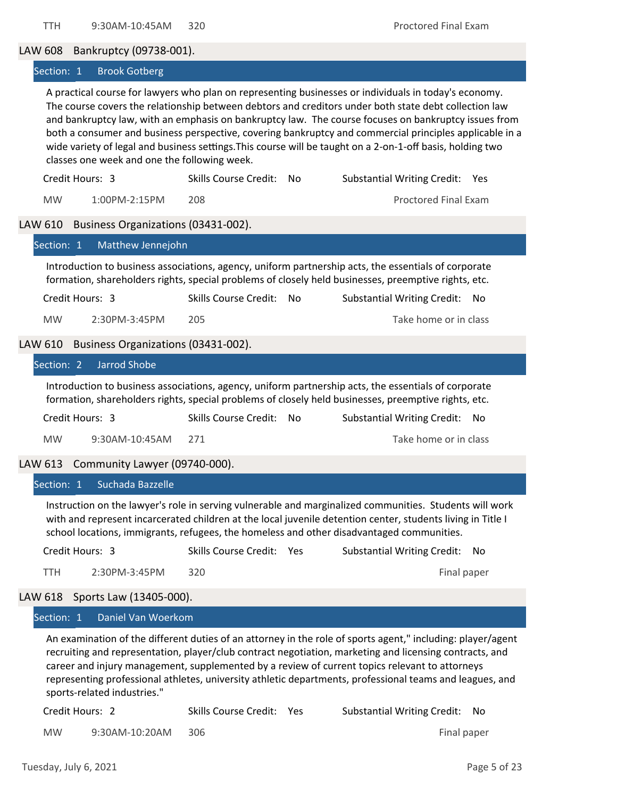LAW 608 Bankruptcy (09738‐001).

Section: 1 Brook Gotberg

A practical course for lawyers who plan on representing businesses or individuals in today's economy. The course covers the relationship between debtors and creditors under both state debt collection law and bankruptcy law, with an emphasis on bankruptcy law. The course focuses on bankruptcy issues from both a consumer and business perspective, covering bankruptcy and commercial principles applicable in a wide variety of legal and business settings. This course will be taught on a 2-on-1-off basis, holding two classes one week and one the following week.

| Credit Hours: 3 |                   | Skills Course Credit: No | Substantial Writing Credit: Yes |
|-----------------|-------------------|--------------------------|---------------------------------|
| <b>MW</b>       | $1:00PM - 2:15PM$ |                          | Proctored Final Exam            |

#### LAW 610 Business Organizations (03431-002).

| Matthew Jennejohn<br>Section: 1                |                              |    |                                                                                                                                                                                                                                                                                                                                                                                                                                      |
|------------------------------------------------|------------------------------|----|--------------------------------------------------------------------------------------------------------------------------------------------------------------------------------------------------------------------------------------------------------------------------------------------------------------------------------------------------------------------------------------------------------------------------------------|
|                                                |                              |    | Introduction to business associations, agency, uniform partnership acts, the essentials of corporate<br>formation, shareholders rights, special problems of closely held businesses, preemptive rights, etc.                                                                                                                                                                                                                         |
| Credit Hours: 3                                | <b>Skills Course Credit:</b> | No | <b>Substantial Writing Credit:</b><br>No                                                                                                                                                                                                                                                                                                                                                                                             |
| <b>MW</b><br>2:30PM-3:45PM                     | 205                          |    | Take home or in class                                                                                                                                                                                                                                                                                                                                                                                                                |
| Business Organizations (03431-002).<br>LAW 610 |                              |    |                                                                                                                                                                                                                                                                                                                                                                                                                                      |
| <b>Jarrod Shobe</b><br>Section: 2              |                              |    |                                                                                                                                                                                                                                                                                                                                                                                                                                      |
|                                                |                              |    | Introduction to business associations, agency, uniform partnership acts, the essentials of corporate<br>formation, shareholders rights, special problems of closely held businesses, preemptive rights, etc.                                                                                                                                                                                                                         |
| Credit Hours: 3                                | <b>Skills Course Credit:</b> | No | <b>Substantial Writing Credit:</b><br>No                                                                                                                                                                                                                                                                                                                                                                                             |
| <b>MW</b><br>9:30AM-10:45AM                    | 271                          |    | Take home or in class                                                                                                                                                                                                                                                                                                                                                                                                                |
| Community Lawyer (09740-000).<br>LAW 613       |                              |    |                                                                                                                                                                                                                                                                                                                                                                                                                                      |
| Section: 1<br>Suchada Bazzelle                 |                              |    |                                                                                                                                                                                                                                                                                                                                                                                                                                      |
|                                                |                              |    | Instruction on the lawyer's role in serving vulnerable and marginalized communities. Students will work<br>with and represent incarcerated children at the local juvenile detention center, students living in Title I<br>school locations, immigrants, refugees, the homeless and other disadvantaged communities.                                                                                                                  |
| Credit Hours: 3                                | Skills Course Credit: Yes    |    | <b>Substantial Writing Credit:</b><br>No                                                                                                                                                                                                                                                                                                                                                                                             |
| <b>TTH</b><br>2:30PM-3:45PM                    | 320                          |    | Final paper                                                                                                                                                                                                                                                                                                                                                                                                                          |
| LAW 618<br>Sports Law (13405-000).             |                              |    |                                                                                                                                                                                                                                                                                                                                                                                                                                      |
| Daniel Van Woerkom<br>Section: 1               |                              |    |                                                                                                                                                                                                                                                                                                                                                                                                                                      |
|                                                |                              |    | An examination of the different duties of an attorney in the role of sports agent," including: player/agent<br>recruiting and representation, player/club contract negotiation, marketing and licensing contracts, and<br>career and injury management, supplemented by a review of current topics relevant to attorneys<br>representing professional athletes, university athletic departments, professional teams and leagues, and |

sports‐related industries."

| Credit Hours: 2 |                | Skills Course Credit: Yes | Substantial Writing Credit: No |
|-----------------|----------------|---------------------------|--------------------------------|
| <b>MW</b>       | 9:30AM-10:20AM | -306                      | Final paper                    |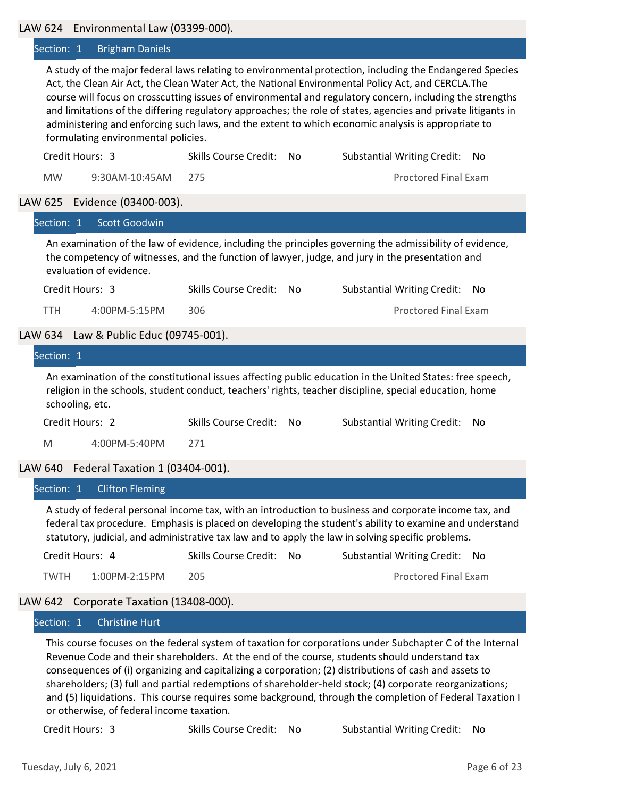#### LAW 624 Environmental Law (03399‐000).

#### Section: 1 Brigham Daniels

A study of the major federal laws relating to environmental protection, including the Endangered Species Act, the Clean Air Act, the Clean Water Act, the National Environmental Policy Act, and CERCLA.The course will focus on crosscutting issues of environmental and regulatory concern, including the strengths and limitations of the differing regulatory approaches; the role of states, agencies and private litigants in administering and enforcing such laws, and the extent to which economic analysis is appropriate to formulating environmental policies.

| Credit Hours: 3 |                    | Skills Course Credit: No | Substantial Writing Credit: No |
|-----------------|--------------------|--------------------------|--------------------------------|
| <b>MW</b>       | 9:30AM-10:45AM 275 |                          | <b>Proctored Final Exam</b>    |

#### LAW 625 Evidence (03400‐003).

| $\mathsf{L}$ is the contractive (00–100 000).                                                                                                                                                                                           |                              |                                                                                                                                                                                                                      |    |  |  |
|-----------------------------------------------------------------------------------------------------------------------------------------------------------------------------------------------------------------------------------------|------------------------------|----------------------------------------------------------------------------------------------------------------------------------------------------------------------------------------------------------------------|----|--|--|
| <b>Scott Goodwin</b><br>Section: 1                                                                                                                                                                                                      |                              |                                                                                                                                                                                                                      |    |  |  |
| An examination of the law of evidence, including the principles governing the admissibility of evidence,<br>the competency of witnesses, and the function of lawyer, judge, and jury in the presentation and<br>evaluation of evidence. |                              |                                                                                                                                                                                                                      |    |  |  |
| Credit Hours: 3                                                                                                                                                                                                                         | Skills Course Credit: No     | <b>Substantial Writing Credit:</b>                                                                                                                                                                                   | No |  |  |
| TTH.<br>4:00PM-5:15PM                                                                                                                                                                                                                   | 306                          | <b>Proctored Final Exam</b>                                                                                                                                                                                          |    |  |  |
| LAW 634 Law & Public Educ (09745-001).                                                                                                                                                                                                  |                              |                                                                                                                                                                                                                      |    |  |  |
| Section: 1                                                                                                                                                                                                                              |                              |                                                                                                                                                                                                                      |    |  |  |
| schooling, etc.                                                                                                                                                                                                                         |                              | An examination of the constitutional issues affecting public education in the United States: free speech,<br>religion in the schools, student conduct, teachers' rights, teacher discipline, special education, home |    |  |  |
| Credit Hours: 2                                                                                                                                                                                                                         | <b>Skills Course Credit:</b> | <b>Substantial Writing Credit:</b><br>No.                                                                                                                                                                            | No |  |  |
| 4:00PM-5:40PM<br>M                                                                                                                                                                                                                      | 271                          |                                                                                                                                                                                                                      |    |  |  |
| LAW 640 Federal Taxation 1 (03404-001).                                                                                                                                                                                                 |                              |                                                                                                                                                                                                                      |    |  |  |
| <b>Clifton Fleming</b><br>Section: 1                                                                                                                                                                                                    |                              |                                                                                                                                                                                                                      |    |  |  |

A study of federal personal income tax, with an introduction to business and corporate income tax, and federal tax procedure. Emphasis is placed on developing the student's ability to examine and understand statutory, judicial, and administrative tax law and to apply the law in solving specific problems.

| Credit Hours: 4 |               | Skills Course Credit: No | Substantial Writing Credit: No |
|-----------------|---------------|--------------------------|--------------------------------|
| TWTH            | 1:00PM-2:15PM | 205                      | <b>Proctored Final Exam</b>    |

## LAW 642 Corporate Taxation (13408-000).

#### Section: 1 Christine Hurt

This course focuses on the federal system of taxation for corporations under Subchapter C of the Internal Revenue Code and their shareholders. At the end of the course, students should understand tax consequences of (i) organizing and capitalizing a corporation; (2) distributions of cash and assets to shareholders; (3) full and partial redemptions of shareholder‐held stock; (4) corporate reorganizations; and (5) liquidations. This course requires some background, through the completion of Federal Taxation I or otherwise, of federal income taxation.

Credit Hours: 3 Skills Course Credit: No Substantial Writing Credit: No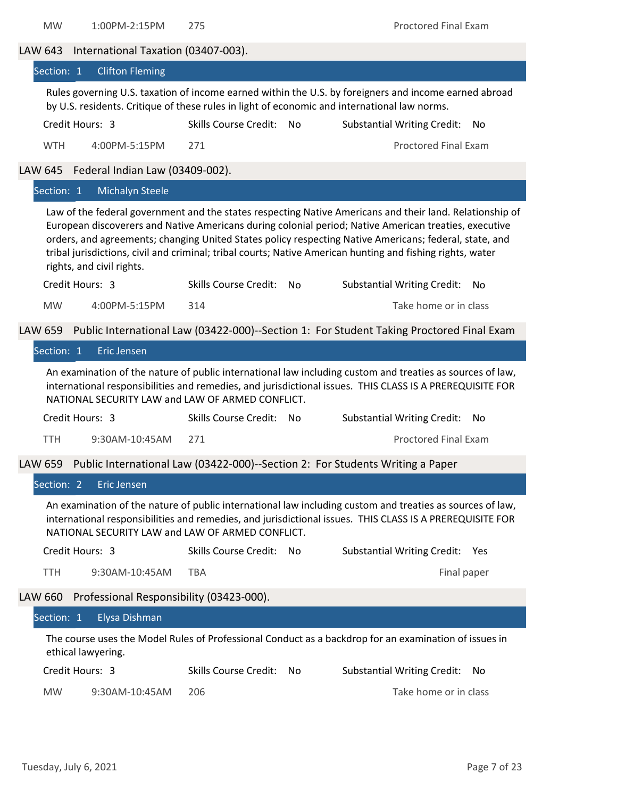MW 1:00PM-2:15PM 275 Proctored Final Exam

LAW 643 International Taxation (03407-003).

| Section: 1     | <b>Clifton Fleming</b>                           |                              |                |                                                                                                                                                                                                                                                                                                                                                                                                                                           |     |
|----------------|--------------------------------------------------|------------------------------|----------------|-------------------------------------------------------------------------------------------------------------------------------------------------------------------------------------------------------------------------------------------------------------------------------------------------------------------------------------------------------------------------------------------------------------------------------------------|-----|
|                |                                                  |                              |                | Rules governing U.S. taxation of income earned within the U.S. by foreigners and income earned abroad<br>by U.S. residents. Critique of these rules in light of economic and international law norms.                                                                                                                                                                                                                                     |     |
|                | Credit Hours: 3                                  | <b>Skills Course Credit:</b> | No             | <b>Substantial Writing Credit:</b>                                                                                                                                                                                                                                                                                                                                                                                                        | No  |
| <b>WTH</b>     | 4:00PM-5:15PM                                    | 271                          |                | <b>Proctored Final Exam</b>                                                                                                                                                                                                                                                                                                                                                                                                               |     |
| <b>LAW 645</b> | Federal Indian Law (03409-002).                  |                              |                |                                                                                                                                                                                                                                                                                                                                                                                                                                           |     |
| Section: 1     | <b>Michalyn Steele</b>                           |                              |                |                                                                                                                                                                                                                                                                                                                                                                                                                                           |     |
|                | rights, and civil rights.                        |                              |                | Law of the federal government and the states respecting Native Americans and their land. Relationship of<br>European discoverers and Native Americans during colonial period; Native American treaties, executive<br>orders, and agreements; changing United States policy respecting Native Americans; federal, state, and<br>tribal jurisdictions, civil and criminal; tribal courts; Native American hunting and fishing rights, water |     |
|                | Credit Hours: 3                                  | <b>Skills Course Credit:</b> | N <sub>o</sub> | <b>Substantial Writing Credit:</b>                                                                                                                                                                                                                                                                                                                                                                                                        | No. |
| <b>MW</b>      | 4:00PM-5:15PM                                    | 314                          |                | Take home or in class                                                                                                                                                                                                                                                                                                                                                                                                                     |     |
| LAW 659        |                                                  |                              |                | Public International Law (03422-000)--Section 1: For Student Taking Proctored Final Exam                                                                                                                                                                                                                                                                                                                                                  |     |
| Section: 1     | <b>Eric Jensen</b>                               |                              |                |                                                                                                                                                                                                                                                                                                                                                                                                                                           |     |
|                | NATIONAL SECURITY LAW and LAW OF ARMED CONFLICT. |                              |                | An examination of the nature of public international law including custom and treaties as sources of law,<br>international responsibilities and remedies, and jurisdictional issues. THIS CLASS IS A PREREQUISITE FOR                                                                                                                                                                                                                     |     |
|                | Credit Hours: 3                                  | <b>Skills Course Credit:</b> | No             | <b>Substantial Writing Credit:</b>                                                                                                                                                                                                                                                                                                                                                                                                        | No. |
| <b>TTH</b>     | 9:30AM-10:45AM                                   | 271                          |                | <b>Proctored Final Exam</b>                                                                                                                                                                                                                                                                                                                                                                                                               |     |
| LAW 659        |                                                  |                              |                | Public International Law (03422-000)--Section 2: For Students Writing a Paper                                                                                                                                                                                                                                                                                                                                                             |     |
| Section: 2     | <b>Eric Jensen</b>                               |                              |                |                                                                                                                                                                                                                                                                                                                                                                                                                                           |     |
|                | NATIONAL SECURITY LAW and LAW OF ARMED CONFLICT. |                              |                | An examination of the nature of public international law including custom and treaties as sources of law,<br>international responsibilities and remedies, and jurisdictional issues. THIS CLASS IS A PREREQUISITE FOR                                                                                                                                                                                                                     |     |
|                | Credit Hours: 3                                  | <b>Skills Course Credit:</b> | No             | <b>Substantial Writing Credit:</b>                                                                                                                                                                                                                                                                                                                                                                                                        | Yes |
| <b>TTH</b>     | 9:30AM-10:45AM                                   | <b>TBA</b>                   |                | Final paper                                                                                                                                                                                                                                                                                                                                                                                                                               |     |
| LAW 660        | Professional Responsibility (03423-000).         |                              |                |                                                                                                                                                                                                                                                                                                                                                                                                                                           |     |
| Section: 1     | Elysa Dishman                                    |                              |                |                                                                                                                                                                                                                                                                                                                                                                                                                                           |     |
|                | ethical lawyering.                               |                              |                | The course uses the Model Rules of Professional Conduct as a backdrop for an examination of issues in                                                                                                                                                                                                                                                                                                                                     |     |
|                | Credit Hours: 3                                  | <b>Skills Course Credit:</b> | No             | <b>Substantial Writing Credit:</b>                                                                                                                                                                                                                                                                                                                                                                                                        | No  |
| <b>MW</b>      | 9:30AM-10:45AM                                   | 206                          |                | Take home or in class                                                                                                                                                                                                                                                                                                                                                                                                                     |     |
|                |                                                  |                              |                |                                                                                                                                                                                                                                                                                                                                                                                                                                           |     |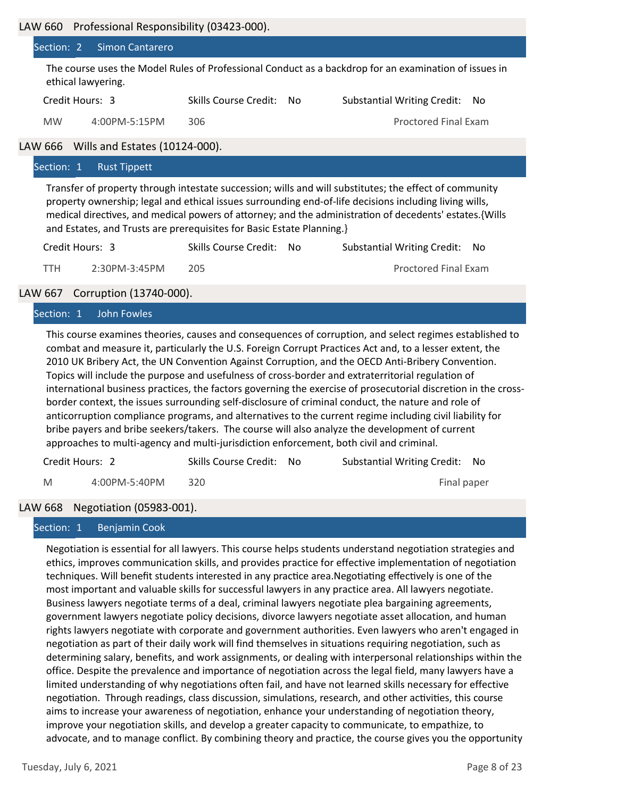|           | Section: 2 Simon Cantarero           |                          |                                                                                                       |
|-----------|--------------------------------------|--------------------------|-------------------------------------------------------------------------------------------------------|
|           | ethical lawyering.                   |                          | The course uses the Model Rules of Professional Conduct as a backdrop for an examination of issues in |
|           | Credit Hours: 3                      | Skills Course Credit: No | <b>Substantial Writing Credit:</b><br>No.                                                             |
| <b>MW</b> | 4:00PM-5:15PM                        | 306                      | <b>Proctored Final Exam</b>                                                                           |
|           | W 666 Wills and Estates (10124-000). |                          |                                                                                                       |
|           |                                      |                          |                                                                                                       |

## LAW 666 Wills and Estates (10124‐000).

#### Section: 1 Rust Tippett

Transfer of property through intestate succession; wills and will substitutes; the effect of community property ownership; legal and ethical issues surrounding end‐of‐life decisions including living wills, medical directives, and medical powers of attorney; and the administration of decedents' estates. {Wills and Estates, and Trusts are prerequisites for Basic Estate Planning.}

| Credit Hours: 3 |               | Skills Course Credit: No | Substantial Writing Credit: No |
|-----------------|---------------|--------------------------|--------------------------------|
| TTH.            | 2:30PM-3:45PM | 205                      | <b>Proctored Final Exam</b>    |

## LAW 667 Corruption (13740‐000).

Section: 1 John Fowles

This course examines theories, causes and consequences of corruption, and select regimes established to combat and measure it, particularly the U.S. Foreign Corrupt Practices Act and, to a lesser extent, the 2010 UK Bribery Act, the UN Convention Against Corruption, and the OECD Anti‐Bribery Convention. Topics will include the purpose and usefulness of cross‐border and extraterritorial regulation of international business practices, the factors governing the exercise of prosecutorial discretion in the cross‐ border context, the issues surrounding self‐disclosure of criminal conduct, the nature and role of anticorruption compliance programs, and alternatives to the current regime including civil liability for bribe payers and bribe seekers/takers. The course will also analyze the development of current approaches to multi‐agency and multi‐jurisdiction enforcement, both civil and criminal.

| Credit Hours: 2 |               | Skills Course Credit: No | Substantial Writing Credit: No |
|-----------------|---------------|--------------------------|--------------------------------|
| M               | 4:00PM-5:40PM |                          | Final paper                    |

## LAW 668 Negotiation (05983‐001).

#### Section: 1 Benjamin Cook

Negotiation is essential for all lawyers. This course helps students understand negotiation strategies and ethics, improves communication skills, and provides practice for effective implementation of negotiation techniques. Will benefit students interested in any practice area.Negotiating effectively is one of the most important and valuable skills for successful lawyers in any practice area. All lawyers negotiate. Business lawyers negotiate terms of a deal, criminal lawyers negotiate plea bargaining agreements, government lawyers negotiate policy decisions, divorce lawyers negotiate asset allocation, and human rights lawyers negotiate with corporate and government authorities. Even lawyers who aren't engaged in negotiation as part of their daily work will find themselves in situations requiring negotiation, such as determining salary, benefits, and work assignments, or dealing with interpersonal relationships within the office. Despite the prevalence and importance of negotiation across the legal field, many lawyers have a limited understanding of why negotiations often fail, and have not learned skills necessary for effective negotiation. Through readings, class discussion, simulations, research, and other activities, this course aims to increase your awareness of negotiation, enhance your understanding of negotiation theory, improve your negotiation skills, and develop a greater capacity to communicate, to empathize, to advocate, and to manage conflict. By combining theory and practice, the course gives you the opportunity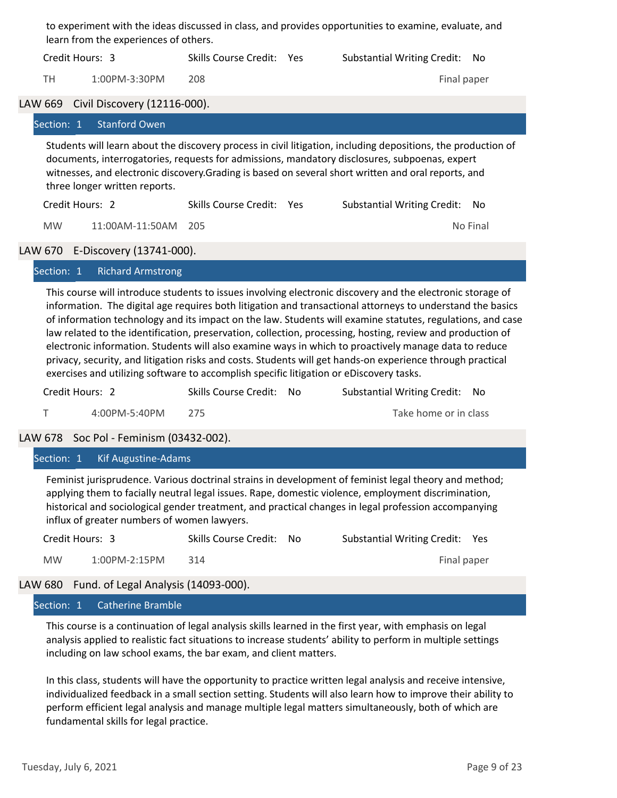|                                                                                                                                                                                                                                                                                                                                                         | to experiment with the ideas discussed in class, and provides opportunities to examine, evaluate, and<br>learn from the experiences of others. |                                      |                           |  |                                    |             |
|---------------------------------------------------------------------------------------------------------------------------------------------------------------------------------------------------------------------------------------------------------------------------------------------------------------------------------------------------------|------------------------------------------------------------------------------------------------------------------------------------------------|--------------------------------------|---------------------------|--|------------------------------------|-------------|
|                                                                                                                                                                                                                                                                                                                                                         |                                                                                                                                                | Credit Hours: 3                      | Skills Course Credit: Yes |  | <b>Substantial Writing Credit:</b> | No.         |
|                                                                                                                                                                                                                                                                                                                                                         | TH.                                                                                                                                            | 1:00PM-3:30PM                        | 208                       |  |                                    | Final paper |
|                                                                                                                                                                                                                                                                                                                                                         |                                                                                                                                                | LAW 669 Civil Discovery (12116-000). |                           |  |                                    |             |
|                                                                                                                                                                                                                                                                                                                                                         |                                                                                                                                                | Section: 1 Stanford Owen             |                           |  |                                    |             |
| Students will learn about the discovery process in civil litigation, including depositions, the production of<br>documents, interrogatories, requests for admissions, mandatory disclosures, subpoenas, expert<br>witnesses, and electronic discovery. Grading is based on several short written and oral reports, and<br>three longer written reports. |                                                                                                                                                |                                      |                           |  |                                    |             |
|                                                                                                                                                                                                                                                                                                                                                         |                                                                                                                                                | Credit Hours: 2                      | Skills Course Credit: Yes |  | <b>Substantial Writing Credit:</b> | No.         |
|                                                                                                                                                                                                                                                                                                                                                         | <b>MW</b>                                                                                                                                      | 11:00AM-11:50AM                      | 205                       |  |                                    | No Final    |
|                                                                                                                                                                                                                                                                                                                                                         |                                                                                                                                                | LAW 670 E-Discovery (13741-000).     |                           |  |                                    |             |
|                                                                                                                                                                                                                                                                                                                                                         |                                                                                                                                                | Section: 1 Richard Armstrong         |                           |  |                                    |             |
|                                                                                                                                                                                                                                                                                                                                                         |                                                                                                                                                |                                      |                           |  |                                    |             |

This course will introduce students to issues involving electronic discovery and the electronic storage of information. The digital age requires both litigation and transactional attorneys to understand the basics of information technology and its impact on the law. Students will examine statutes, regulations, and case law related to the identification, preservation, collection, processing, hosting, review and production of electronic information. Students will also examine ways in which to proactively manage data to reduce privacy, security, and litigation risks and costs. Students will get hands‐on experience through practical exercises and utilizing software to accomplish specific litigation or eDiscovery tasks.

| Credit Hours: 2 |               | Skills Course Credit: No | Substantial Writing Credit: No |
|-----------------|---------------|--------------------------|--------------------------------|
|                 | 4:00PM-5:40PM |                          | Take home or in class          |

LAW 678 Soc Pol ‐ Feminism (03432‐002).

Section: 1 Kif Augustine-Adams

Feminist jurisprudence. Various doctrinal strains in development of feminist legal theory and method; applying them to facially neutral legal issues. Rape, domestic violence, employment discrimination, historical and sociological gender treatment, and practical changes in legal profession accompanying influx of greater numbers of women lawyers.

| Credit Hours: 3 |               | Skills Course Credit: No | Substantial Writing Credit: Yes |             |  |
|-----------------|---------------|--------------------------|---------------------------------|-------------|--|
| <b>MW</b>       | 1:00PM-2:15PM | 314                      |                                 | Final paper |  |

## LAW 680 Fund. of Legal Analysis (14093-000).

#### Section: 1 Catherine Bramble

This course is a continuation of legal analysis skills learned in the first year, with emphasis on legal analysis applied to realistic fact situations to increase students' ability to perform in multiple settings including on law school exams, the bar exam, and client matters.

In this class, students will have the opportunity to practice written legal analysis and receive intensive, individualized feedback in a small section setting. Students will also learn how to improve their ability to perform efficient legal analysis and manage multiple legal matters simultaneously, both of which are fundamental skills for legal practice.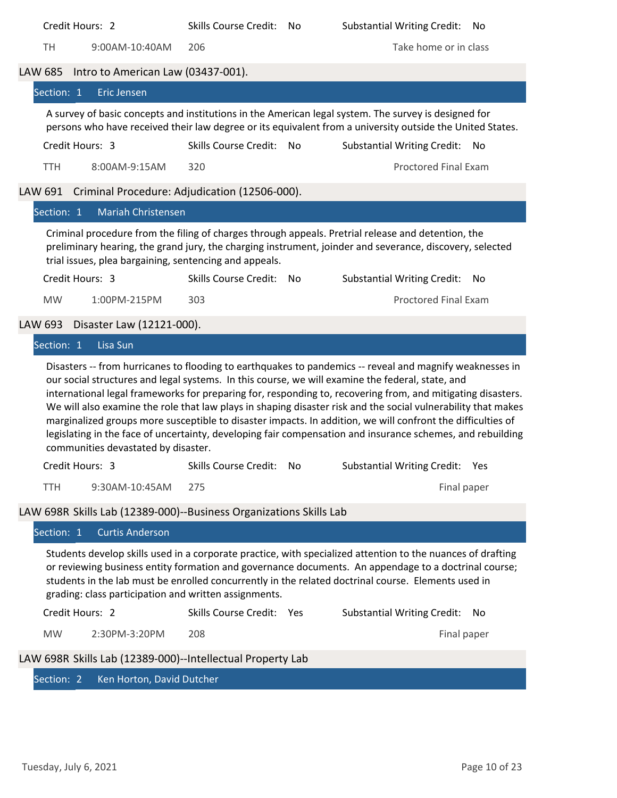| Credit Hours: 2                                                                                                                                                                                                                                                                                                                                                                                                                                                                                                                                                                                                                                                                                                  | <b>Skills Course Credit:</b> | No | <b>Substantial Writing Credit:</b> | No  |
|------------------------------------------------------------------------------------------------------------------------------------------------------------------------------------------------------------------------------------------------------------------------------------------------------------------------------------------------------------------------------------------------------------------------------------------------------------------------------------------------------------------------------------------------------------------------------------------------------------------------------------------------------------------------------------------------------------------|------------------------------|----|------------------------------------|-----|
| <b>TH</b><br>9:00AM-10:40AM                                                                                                                                                                                                                                                                                                                                                                                                                                                                                                                                                                                                                                                                                      | 206                          |    | Take home or in class              |     |
| Intro to American Law (03437-001).<br>LAW 685                                                                                                                                                                                                                                                                                                                                                                                                                                                                                                                                                                                                                                                                    |                              |    |                                    |     |
| Section: 1<br>Eric Jensen                                                                                                                                                                                                                                                                                                                                                                                                                                                                                                                                                                                                                                                                                        |                              |    |                                    |     |
| A survey of basic concepts and institutions in the American legal system. The survey is designed for<br>persons who have received their law degree or its equivalent from a university outside the United States.                                                                                                                                                                                                                                                                                                                                                                                                                                                                                                |                              |    |                                    |     |
| Credit Hours: 3                                                                                                                                                                                                                                                                                                                                                                                                                                                                                                                                                                                                                                                                                                  | Skills Course Credit: No     |    | <b>Substantial Writing Credit:</b> | No. |
| <b>TTH</b><br>8:00AM-9:15AM                                                                                                                                                                                                                                                                                                                                                                                                                                                                                                                                                                                                                                                                                      | 320                          |    | <b>Proctored Final Exam</b>        |     |
| LAW 691 Criminal Procedure: Adjudication (12506-000).                                                                                                                                                                                                                                                                                                                                                                                                                                                                                                                                                                                                                                                            |                              |    |                                    |     |
| <b>Mariah Christensen</b><br>Section: 1                                                                                                                                                                                                                                                                                                                                                                                                                                                                                                                                                                                                                                                                          |                              |    |                                    |     |
| Criminal procedure from the filing of charges through appeals. Pretrial release and detention, the<br>preliminary hearing, the grand jury, the charging instrument, joinder and severance, discovery, selected<br>trial issues, plea bargaining, sentencing and appeals.                                                                                                                                                                                                                                                                                                                                                                                                                                         |                              |    |                                    |     |
| Credit Hours: 3                                                                                                                                                                                                                                                                                                                                                                                                                                                                                                                                                                                                                                                                                                  | <b>Skills Course Credit:</b> | No | <b>Substantial Writing Credit:</b> | No  |
| <b>MW</b><br>1:00PM-215PM                                                                                                                                                                                                                                                                                                                                                                                                                                                                                                                                                                                                                                                                                        | 303                          |    | <b>Proctored Final Exam</b>        |     |
| Disaster Law (12121-000).<br>LAW 693                                                                                                                                                                                                                                                                                                                                                                                                                                                                                                                                                                                                                                                                             |                              |    |                                    |     |
| Lisa Sun<br>Section: 1                                                                                                                                                                                                                                                                                                                                                                                                                                                                                                                                                                                                                                                                                           |                              |    |                                    |     |
| Disasters -- from hurricanes to flooding to earthquakes to pandemics -- reveal and magnify weaknesses in<br>our social structures and legal systems. In this course, we will examine the federal, state, and<br>international legal frameworks for preparing for, responding to, recovering from, and mitigating disasters.<br>We will also examine the role that law plays in shaping disaster risk and the social vulnerability that makes<br>marginalized groups more susceptible to disaster impacts. In addition, we will confront the difficulties of<br>legislating in the face of uncertainty, developing fair compensation and insurance schemes, and rebuilding<br>communities devastated by disaster. |                              |    |                                    |     |
| Credit Hours: 3 Skills Course Credit: No Substantial Writing Credit: Yes                                                                                                                                                                                                                                                                                                                                                                                                                                                                                                                                                                                                                                         |                              |    |                                    |     |
| <b>TTH</b><br>9:30AM-10:45AM                                                                                                                                                                                                                                                                                                                                                                                                                                                                                                                                                                                                                                                                                     | 275                          |    | Final paper                        |     |
| LAW 698R Skills Lab (12389-000)--Business Organizations Skills Lab                                                                                                                                                                                                                                                                                                                                                                                                                                                                                                                                                                                                                                               |                              |    |                                    |     |
| <b>Curtis Anderson</b><br>Section: 1                                                                                                                                                                                                                                                                                                                                                                                                                                                                                                                                                                                                                                                                             |                              |    |                                    |     |
| Students develop skills used in a corporate practice, with specialized attention to the nuances of drafting<br>or reviewing business entity formation and governance documents. An appendage to a doctrinal course;<br>students in the lab must be enrolled concurrently in the related doctrinal course. Elements used in<br>grading: class participation and written assignments.                                                                                                                                                                                                                                                                                                                              |                              |    |                                    |     |
| Credit Hours: 2                                                                                                                                                                                                                                                                                                                                                                                                                                                                                                                                                                                                                                                                                                  | Skills Course Credit: Yes    |    | <b>Substantial Writing Credit:</b> | No  |
| <b>MW</b><br>2:30PM-3:20PM                                                                                                                                                                                                                                                                                                                                                                                                                                                                                                                                                                                                                                                                                       | 208                          |    | Final paper                        |     |
| LAW 698R Skills Lab (12389-000)--Intellectual Property Lab                                                                                                                                                                                                                                                                                                                                                                                                                                                                                                                                                                                                                                                       |                              |    |                                    |     |
| Ken Horton, David Dutcher<br>Section: 2                                                                                                                                                                                                                                                                                                                                                                                                                                                                                                                                                                                                                                                                          |                              |    |                                    |     |
|                                                                                                                                                                                                                                                                                                                                                                                                                                                                                                                                                                                                                                                                                                                  |                              |    |                                    |     |
|                                                                                                                                                                                                                                                                                                                                                                                                                                                                                                                                                                                                                                                                                                                  |                              |    |                                    |     |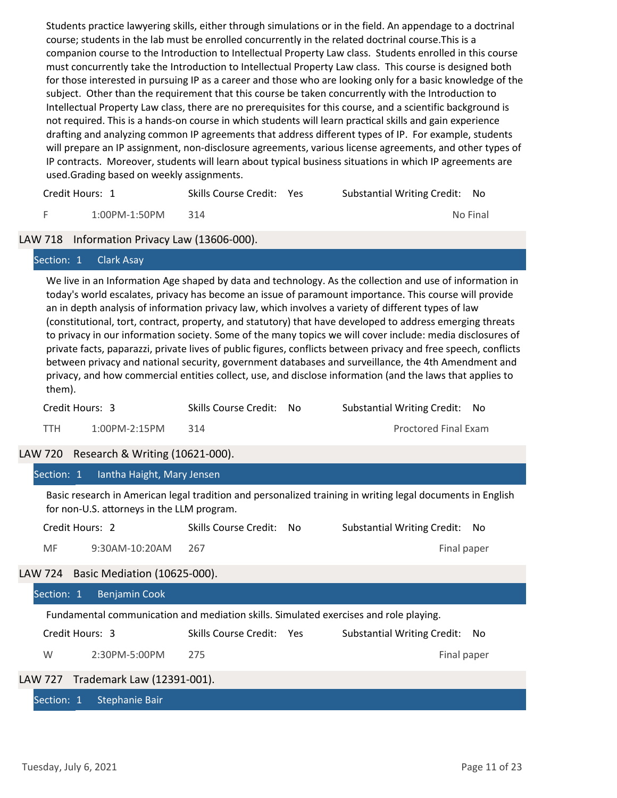Students practice lawyering skills, either through simulations or in the field. An appendage to a doctrinal course; students in the lab must be enrolled concurrently in the related doctrinal course.This is a companion course to the Introduction to Intellectual Property Law class. Students enrolled in this course must concurrently take the Introduction to Intellectual Property Law class. This course is designed both for those interested in pursuing IP as a career and those who are looking only for a basic knowledge of the subject. Other than the requirement that this course be taken concurrently with the Introduction to Intellectual Property Law class, there are no prerequisites for this course, and a scientific background is not required. This is a hands-on course in which students will learn practical skills and gain experience drafting and analyzing common IP agreements that address different types of IP. For example, students will prepare an IP assignment, non-disclosure agreements, various license agreements, and other types of IP contracts. Moreover, students will learn about typical business situations in which IP agreements are used.Grading based on weekly assignments.

| Credit Hours: 1 |               | Skills Course Credit: Yes | Substantial Writing Credit: No |          |
|-----------------|---------------|---------------------------|--------------------------------|----------|
|                 | 1:00PM-1:50PM | 314                       |                                | No Final |

#### LAW 718 Information Privacy Law (13606-000).

#### Section: 1 Clark Asay

We live in an Information Age shaped by data and technology. As the collection and use of information in today's world escalates, privacy has become an issue of paramount importance. This course will provide an in depth analysis of information privacy law, which involves a variety of different types of law (constitutional, tort, contract, property, and statutory) that have developed to address emerging threats to privacy in our information society. Some of the many topics we will cover include: media disclosures of private facts, paparazzi, private lives of public figures, conflicts between privacy and free speech, conflicts between privacy and national security, government databases and surveillance, the 4th Amendment and privacy, and how commercial entities collect, use, and disclose information (and the laws that applies to them).

| Credit Hours: 3 |               | Skills Course Credit: No | Substantial Writing Credit: No |
|-----------------|---------------|--------------------------|--------------------------------|
| <b>TTH</b>      | 1:00PM-2:15PM |                          | <b>Proctored Final Exam</b>    |

## LAW 720 Research & Writing (10621‐000).

| Section:<br>lantha Haight, Mary Jensen |  |
|----------------------------------------|--|
|----------------------------------------|--|

Basic research in American legal tradition and personalized training in writing legal documents in English for non-U.S. attorneys in the LLM program.

| Credit Hours: 2<br>Skills Course Credit: No | Substantial Writing Credit: No |
|---------------------------------------------|--------------------------------|
|---------------------------------------------|--------------------------------|

MF 9:30AM-10:20AM 267 Final paper

# LAW 724 Basic Mediation (10625‐000).

| Section: 1                                                                            | <b>Benjamin Cook</b>               |                           |  |                                |
|---------------------------------------------------------------------------------------|------------------------------------|---------------------------|--|--------------------------------|
| Fundamental communication and mediation skills. Simulated exercises and role playing. |                                    |                           |  |                                |
|                                                                                       | Credit Hours: 3                    | Skills Course Credit: Yes |  | Substantial Writing Credit: No |
| W                                                                                     | 2:30PM-5:00PM                      | 275                       |  | Final paper                    |
|                                                                                       | LAW 727 Trademark Law (12391-001). |                           |  |                                |
| Section: 1                                                                            | Stephanie Bair                     |                           |  |                                |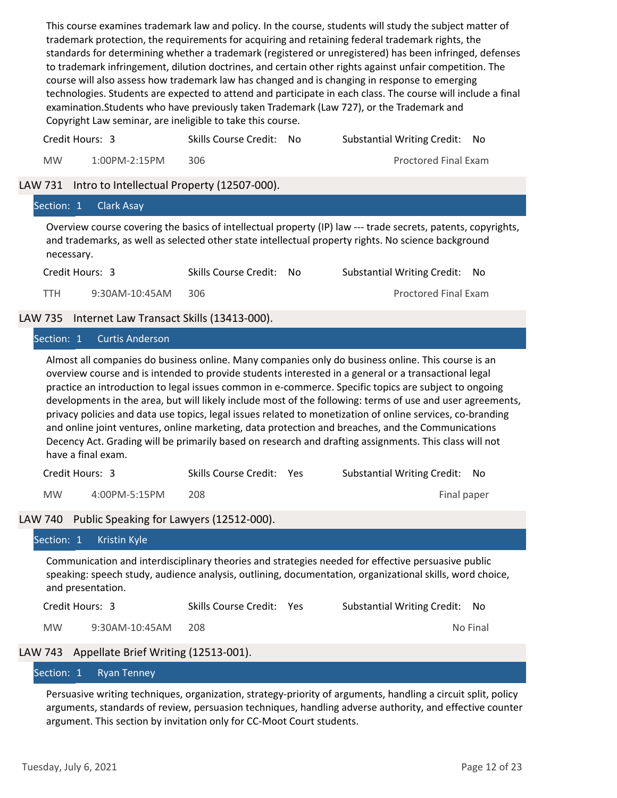This course examines trademark law and policy. In the course, students will study the subject matter of trademark protection, the requirements for acquiring and retaining federal trademark rights, the standards for determining whether a trademark (registered or unregistered) has been infringed, defenses to trademark infringement, dilution doctrines, and certain other rights against unfair competition. The course will also assess how trademark law has changed and is changing in response to emerging technologies. Students are expected to attend and participate in each class. The course will include a final examination.Students who have previously taken Trademark (Law 727), or the Trademark and Copyright Law seminar, are ineligible to take this course.

| Credit Hours: 3 |                  | Skills Course Credit: No | Substantial Writing Credit: No |  |
|-----------------|------------------|--------------------------|--------------------------------|--|
| MW              | $1:00$ PM-2:15PM | 306.                     | <b>Proctored Final Exam</b>    |  |

#### LAW 731 Intro to Intellectual Property (12507-000).

| Section: 1<br><b>Clark Asay</b>                      |                              |                                                                                                                                                                                                                                                                                                                                                                                                                                                                                                                                                                                                                                                                                                                                                                |
|------------------------------------------------------|------------------------------|----------------------------------------------------------------------------------------------------------------------------------------------------------------------------------------------------------------------------------------------------------------------------------------------------------------------------------------------------------------------------------------------------------------------------------------------------------------------------------------------------------------------------------------------------------------------------------------------------------------------------------------------------------------------------------------------------------------------------------------------------------------|
| necessary.                                           |                              | Overview course covering the basics of intellectual property (IP) law --- trade secrets, patents, copyrights,<br>and trademarks, as well as selected other state intellectual property rights. No science background                                                                                                                                                                                                                                                                                                                                                                                                                                                                                                                                           |
| Credit Hours: 3                                      | Skills Course Credit:<br>No. | <b>Substantial Writing Credit:</b><br>No.                                                                                                                                                                                                                                                                                                                                                                                                                                                                                                                                                                                                                                                                                                                      |
| 9:30AM-10:45AM<br>TTH.                               | 306                          | <b>Proctored Final Exam</b>                                                                                                                                                                                                                                                                                                                                                                                                                                                                                                                                                                                                                                                                                                                                    |
| Internet Law Transact Skills (13413-000).<br>LAW 735 |                              |                                                                                                                                                                                                                                                                                                                                                                                                                                                                                                                                                                                                                                                                                                                                                                |
| Curtis Anderson<br>Section: 1                        |                              |                                                                                                                                                                                                                                                                                                                                                                                                                                                                                                                                                                                                                                                                                                                                                                |
| have a final exam.                                   |                              | Almost all companies do business online. Many companies only do business online. This course is an<br>overview course and is intended to provide students interested in a general or a transactional legal<br>practice an introduction to legal issues common in e-commerce. Specific topics are subject to ongoing<br>developments in the area, but will likely include most of the following: terms of use and user agreements,<br>privacy policies and data use topics, legal issues related to monetization of online services, co-branding<br>and online joint ventures, online marketing, data protection and breaches, and the Communications<br>Decency Act. Grading will be primarily based on research and drafting assignments. This class will not |

| Credit Hours: 3 | Skills Course Credit: Yes | Substantial Writing Credit: No |  |
|-----------------|---------------------------|--------------------------------|--|
|                 |                           |                                |  |

MW 4:00PM-5:15PM 208 Final paper

LAW 740 Public Speaking for Lawyers (12512-000).

|           | Section: 1 Kristin Kyle                      |                           |                                                                                                                                                                                                                |          |
|-----------|----------------------------------------------|---------------------------|----------------------------------------------------------------------------------------------------------------------------------------------------------------------------------------------------------------|----------|
|           | and presentation.                            |                           | Communication and interdisciplinary theories and strategies needed for effective persuasive public<br>speaking: speech study, audience analysis, outlining, documentation, organizational skills, word choice, |          |
|           | Credit Hours: 3                              | Skills Course Credit: Yes | Substantial Writing Credit: No                                                                                                                                                                                 |          |
| <b>MW</b> | $9:30$ AM-10:45AM                            | 208                       |                                                                                                                                                                                                                | No Final |
|           | LAW 743 Appellate Brief Writing (12513-001). |                           |                                                                                                                                                                                                                |          |

### Section: 1 Ryan Tenney

Persuasive writing techniques, organization, strategy‐priority of arguments, handling a circuit split, policy arguments, standards of review, persuasion techniques, handling adverse authority, and effective counter argument. This section by invitation only for CC‐Moot Court students.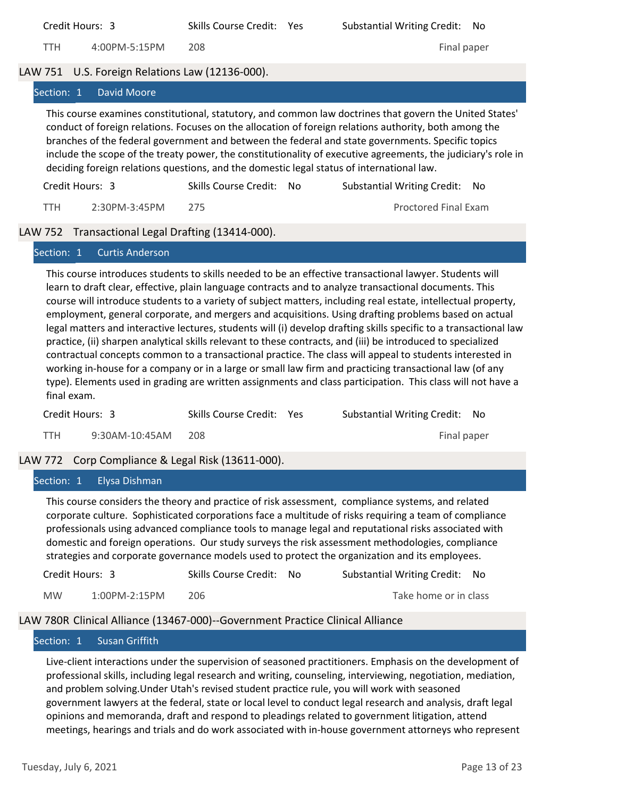|            | Credit Hours: 3                                                                           | Skills Course Credit: | Yes | <b>Substantial Writing Credit:</b>                                                                                                                                                                                                                                                                                                                                                                                                      | No  |
|------------|-------------------------------------------------------------------------------------------|-----------------------|-----|-----------------------------------------------------------------------------------------------------------------------------------------------------------------------------------------------------------------------------------------------------------------------------------------------------------------------------------------------------------------------------------------------------------------------------------------|-----|
| TTH        | 4:00PM-5:15PM                                                                             | 208                   |     | Final paper                                                                                                                                                                                                                                                                                                                                                                                                                             |     |
|            | LAW 751 U.S. Foreign Relations Law (12136-000).                                           |                       |     |                                                                                                                                                                                                                                                                                                                                                                                                                                         |     |
| Section: 1 | David Moore                                                                               |                       |     |                                                                                                                                                                                                                                                                                                                                                                                                                                         |     |
|            | deciding foreign relations questions, and the domestic legal status of international law. |                       |     | This course examines constitutional, statutory, and common law doctrines that govern the United States'<br>conduct of foreign relations. Focuses on the allocation of foreign relations authority, both among the<br>branches of the federal government and between the federal and state governments. Specific topics<br>include the scope of the treaty power, the constitutionality of executive agreements, the judiciary's role in |     |
|            | Credit Hours: 3                                                                           | Skills Course Credit: | No. | <b>Substantial Writing Credit:</b>                                                                                                                                                                                                                                                                                                                                                                                                      | No. |
| TTH        | 2:30PM-3:45PM                                                                             | 275                   |     | <b>Proctored Final Exam</b>                                                                                                                                                                                                                                                                                                                                                                                                             |     |
|            | LAW 752 Transactional Legal Drafting (13414-000).                                         |                       |     |                                                                                                                                                                                                                                                                                                                                                                                                                                         |     |

#### Section: 1 Curtis Anderson

This course introduces students to skills needed to be an effective transactional lawyer. Students will learn to draft clear, effective, plain language contracts and to analyze transactional documents. This course will introduce students to a variety of subject matters, including real estate, intellectual property, employment, general corporate, and mergers and acquisitions. Using drafting problems based on actual legal matters and interactive lectures, students will (i) develop drafting skills specific to a transactional law practice, (ii) sharpen analytical skills relevant to these contracts, and (iii) be introduced to specialized contractual concepts common to a transactional practice. The class will appeal to students interested in working in‐house for a company or in a large or small law firm and practicing transactional law (of any type). Elements used in grading are written assignments and class participation. This class will not have a final exam.

| Credit Hours: 3 |                | Skills Course Credit: Yes | Substantial Writing Credit: No |  |
|-----------------|----------------|---------------------------|--------------------------------|--|
| <b>TTH</b>      | 9:30AM-10:45AM | - 208                     | Final paper                    |  |

## LAW 772 Corp Compliance & Legal Risk (13611-000).

#### Section: 1 Elysa Dishman

This course considers the theory and practice of risk assessment, compliance systems, and related corporate culture. Sophisticated corporations face a multitude of risks requiring a team of compliance professionals using advanced compliance tools to manage legal and reputational risks associated with domestic and foreign operations. Our study surveys the risk assessment methodologies, compliance strategies and corporate governance models used to protect the organization and its employees.

| Credit Hours: 3 |                  | Skills Course Credit: No | Substantial Writing Credit: No |  |
|-----------------|------------------|--------------------------|--------------------------------|--|
| <b>MW</b>       | $1:00$ PM-2:15PM | 206.                     | Take home or in class          |  |

#### LAW 780R Clinical Alliance (13467‐000)‐‐Government Practice Clinical Alliance

#### Section: 1 Susan Griffith

Live‐client interactions under the supervision of seasoned practitioners. Emphasis on the development of professional skills, including legal research and writing, counseling, interviewing, negotiation, mediation, and problem solving. Under Utah's revised student practice rule, you will work with seasoned government lawyers at the federal, state or local level to conduct legal research and analysis, draft legal opinions and memoranda, draft and respond to pleadings related to government litigation, attend meetings, hearings and trials and do work associated with in‐house government attorneys who represent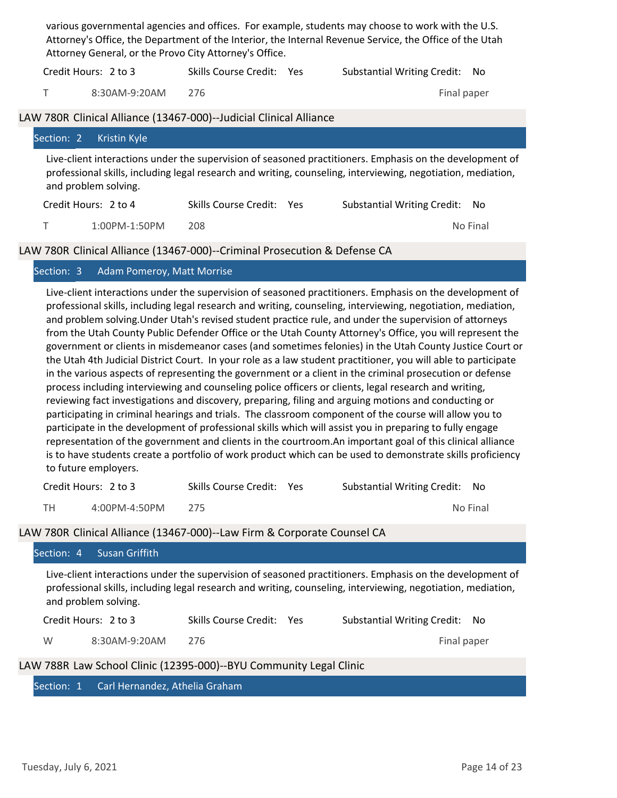|                                                                                                                                                                                                                                                  | various governmental agencies and offices. For example, students may choose to work with the U.S.<br>Attorney's Office, the Department of the Interior, the Internal Revenue Service, the Office of the Utah<br>Attorney General, or the Provo City Attorney's Office. |                      |                                                                    |            |                                    |             |  |
|--------------------------------------------------------------------------------------------------------------------------------------------------------------------------------------------------------------------------------------------------|------------------------------------------------------------------------------------------------------------------------------------------------------------------------------------------------------------------------------------------------------------------------|----------------------|--------------------------------------------------------------------|------------|------------------------------------|-------------|--|
|                                                                                                                                                                                                                                                  |                                                                                                                                                                                                                                                                        | Credit Hours: 2 to 3 | Skills Course Credit: Yes                                          |            | <b>Substantial Writing Credit:</b> | No.         |  |
|                                                                                                                                                                                                                                                  | T.                                                                                                                                                                                                                                                                     | 8:30AM-9:20AM        | 276                                                                |            |                                    | Final paper |  |
|                                                                                                                                                                                                                                                  |                                                                                                                                                                                                                                                                        |                      | LAW 780R Clinical Alliance (13467-000)--Judicial Clinical Alliance |            |                                    |             |  |
|                                                                                                                                                                                                                                                  | Section: 2                                                                                                                                                                                                                                                             | Kristin Kyle         |                                                                    |            |                                    |             |  |
| Live-client interactions under the supervision of seasoned practitioners. Emphasis on the development of<br>professional skills, including legal research and writing, counseling, interviewing, negotiation, mediation,<br>and problem solving. |                                                                                                                                                                                                                                                                        |                      |                                                                    |            |                                    |             |  |
|                                                                                                                                                                                                                                                  |                                                                                                                                                                                                                                                                        | Credit Hours: 2 to 4 | <b>Skills Course Credit:</b>                                       | <b>Yes</b> | <b>Substantial Writing Credit:</b> | No.         |  |
|                                                                                                                                                                                                                                                  |                                                                                                                                                                                                                                                                        |                      |                                                                    |            |                                    |             |  |

T 1:00PM‐1:50PM 208 No Final

## LAW 780R Clinical Alliance (13467-000)--Criminal Prosecution & Defense CA

## Section: 3 Adam Pomeroy, Matt Morrise

Live‐client interactions under the supervision of seasoned practitioners. Emphasis on the development of professional skills, including legal research and writing, counseling, interviewing, negotiation, mediation, and problem solving. Under Utah's revised student practice rule, and under the supervision of attorneys from the Utah County Public Defender Office or the Utah County Attorney's Office, you will represent the government or clients in misdemeanor cases (and sometimes felonies) in the Utah County Justice Court or the Utah 4th Judicial District Court. In your role as a law student practitioner, you will able to participate in the various aspects of representing the government or a client in the criminal prosecution or defense process including interviewing and counseling police officers or clients, legal research and writing, reviewing fact investigations and discovery, preparing, filing and arguing motions and conducting or participating in criminal hearings and trials. The classroom component of the course will allow you to participate in the development of professional skills which will assist you in preparing to fully engage representation of the government and clients in the courtroom.An important goal of this clinical alliance is to have students create a portfolio of work product which can be used to demonstrate skills proficiency to future employers.

|    | Credit Hours: 2 to 3 | Skills Course Credit: Yes | Substantial Writing Credit: No |
|----|----------------------|---------------------------|--------------------------------|
| TH | 4:00PM-4:50PM        |                           | No Final                       |

## LAW 780R Clinical Alliance (13467‐000)‐‐Law Firm & Corporate Counsel CA

| <b>Susan Griffith</b><br>Section: 4                                                                                                                                                                                                              |                           |                                            |  |  |  |  |  |  |
|--------------------------------------------------------------------------------------------------------------------------------------------------------------------------------------------------------------------------------------------------|---------------------------|--------------------------------------------|--|--|--|--|--|--|
| Live-client interactions under the supervision of seasoned practitioners. Emphasis on the development of<br>professional skills, including legal research and writing, counseling, interviewing, negotiation, mediation,<br>and problem solving. |                           |                                            |  |  |  |  |  |  |
| Credit Hours: 2 to 3                                                                                                                                                                                                                             | Skills Course Credit: Yes | <b>Substantial Writing Credit:</b><br>- No |  |  |  |  |  |  |
| $8:30AM-9:20AM$<br>W                                                                                                                                                                                                                             | 276                       | Final paper                                |  |  |  |  |  |  |
| LAW 788R Law School Clinic (12395-000)--BYU Community Legal Clinic                                                                                                                                                                               |                           |                                            |  |  |  |  |  |  |
| Carl Hernandez, Athelia Graham<br>Section: 1                                                                                                                                                                                                     |                           |                                            |  |  |  |  |  |  |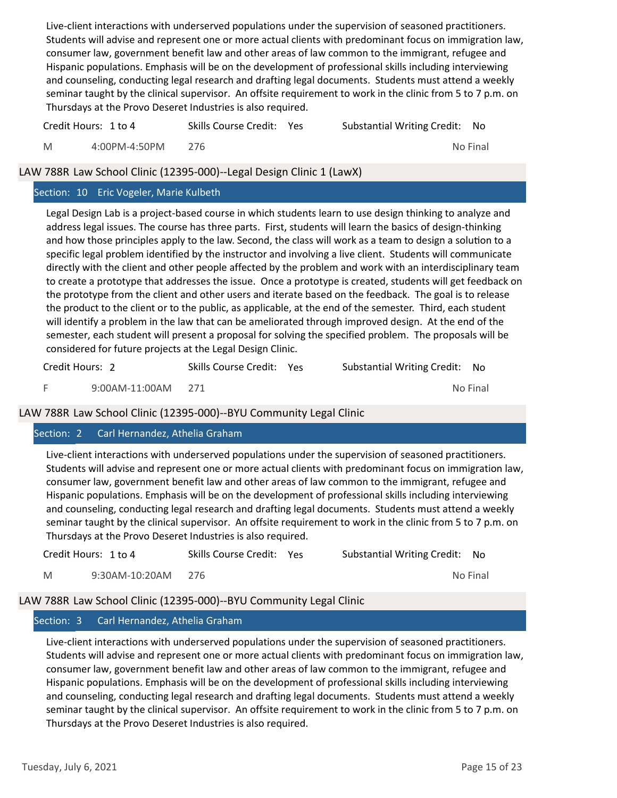Live‐client interactions with underserved populations under the supervision of seasoned practitioners. Students will advise and represent one or more actual clients with predominant focus on immigration law, consumer law, government benefit law and other areas of law common to the immigrant, refugee and Hispanic populations. Emphasis will be on the development of professional skills including interviewing and counseling, conducting legal research and drafting legal documents. Students must attend a weekly seminar taught by the clinical supervisor. An offsite requirement to work in the clinic from 5 to 7 p.m. on Thursdays at the Provo Deseret Industries is also required.

|   | Credit Hours: 1 to 4 | Skills Course Credit: Yes | Substantial Writing Credit: No |          |
|---|----------------------|---------------------------|--------------------------------|----------|
| M | 4:00PM-4:50PM        | 276                       |                                | No Final |

## LAW 788R Law School Clinic (12395‐000)‐‐Legal Design Clinic 1 (LawX)

## Section: 10 Eric Vogeler, Marie Kulbeth

Legal Design Lab is a project‐based course in which students learn to use design thinking to analyze and address legal issues. The course has three parts. First, students will learn the basics of design-thinking and how those principles apply to the law. Second, the class will work as a team to design a solution to a specific legal problem identified by the instructor and involving a live client. Students will communicate directly with the client and other people affected by the problem and work with an interdisciplinary team to create a prototype that addresses the issue. Once a prototype is created, students will get feedback on the prototype from the client and other users and iterate based on the feedback. The goal is to release the product to the client or to the public, as applicable, at the end of the semester. Third, each student will identify a problem in the law that can be ameliorated through improved design. At the end of the semester, each student will present a proposal for solving the specified problem. The proposals will be considered for future projects at the Legal Design Clinic.

| Credit Hours: 2 |                    | Skills Course Credit: Yes | Substantial Writing Credit: No |          |  |
|-----------------|--------------------|---------------------------|--------------------------------|----------|--|
|                 | 9:00AM-11:00AM 271 |                           |                                | No Final |  |

## LAW 788R Law School Clinic (12395‐000)‐‐BYU Community Legal Clinic

## Section: 2 Carl Hernandez, Athelia Graham

Live‐client interactions with underserved populations under the supervision of seasoned practitioners. Students will advise and represent one or more actual clients with predominant focus on immigration law, consumer law, government benefit law and other areas of law common to the immigrant, refugee and Hispanic populations. Emphasis will be on the development of professional skills including interviewing and counseling, conducting legal research and drafting legal documents. Students must attend a weekly seminar taught by the clinical supervisor. An offsite requirement to work in the clinic from 5 to 7 p.m. on Thursdays at the Provo Deseret Industries is also required.

| Credit Hours: 1 to 4 |                | Skills Course Credit: Yes | Substantial Writing Credit: No |          |  |
|----------------------|----------------|---------------------------|--------------------------------|----------|--|
| M                    | 9:30AM-10:20AM | - 276                     |                                | No Final |  |

## LAW 788R Law School Clinic (12395‐000)‐‐BYU Community Legal Clinic

## Section: 3 Carl Hernandez, Athelia Graham

Live‐client interactions with underserved populations under the supervision of seasoned practitioners. Students will advise and represent one or more actual clients with predominant focus on immigration law, consumer law, government benefit law and other areas of law common to the immigrant, refugee and Hispanic populations. Emphasis will be on the development of professional skills including interviewing and counseling, conducting legal research and drafting legal documents. Students must attend a weekly seminar taught by the clinical supervisor. An offsite requirement to work in the clinic from 5 to 7 p.m. on Thursdays at the Provo Deseret Industries is also required.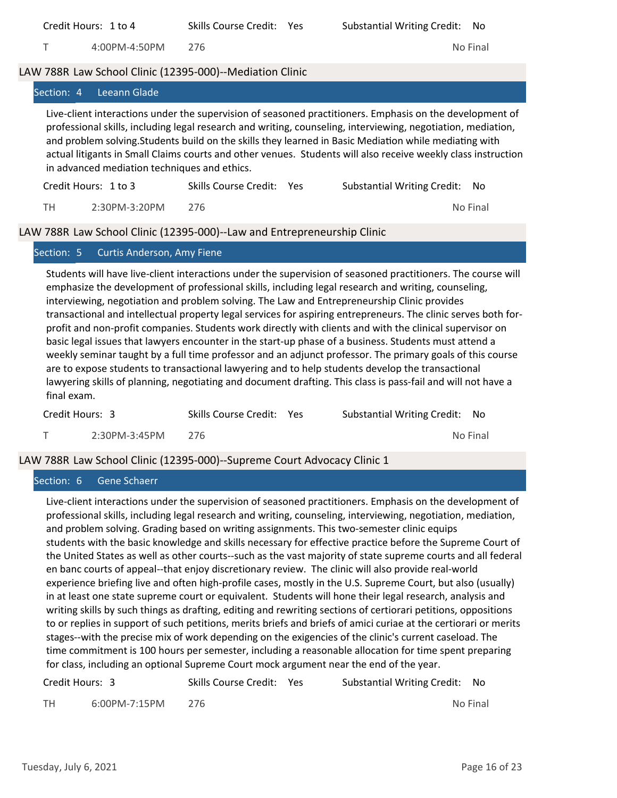| Credit Hours: 1 to 4                                                                                                                                                                                                                                                                                                                                                                                                                                                                                | Skills Course Credit: | Yes | <b>Substantial Writing Credit:</b> | No.      |
|-----------------------------------------------------------------------------------------------------------------------------------------------------------------------------------------------------------------------------------------------------------------------------------------------------------------------------------------------------------------------------------------------------------------------------------------------------------------------------------------------------|-----------------------|-----|------------------------------------|----------|
| 4:00PM-4:50PM                                                                                                                                                                                                                                                                                                                                                                                                                                                                                       | 276                   |     |                                    | No Final |
| LAW 788R Law School Clinic (12395-000)--Mediation Clinic                                                                                                                                                                                                                                                                                                                                                                                                                                            |                       |     |                                    |          |
| Leeann Glade<br>Section: 4                                                                                                                                                                                                                                                                                                                                                                                                                                                                          |                       |     |                                    |          |
| Live-client interactions under the supervision of seasoned practitioners. Emphasis on the development of<br>professional skills, including legal research and writing, counseling, interviewing, negotiation, mediation,<br>and problem solving. Students build on the skills they learned in Basic Mediation while mediating with<br>actual litigants in Small Claims courts and other venues. Students will also receive weekly class instruction<br>in advanced mediation techniques and ethics. |                       |     |                                    |          |
| Credit Hours: 1 to 3                                                                                                                                                                                                                                                                                                                                                                                                                                                                                | Skills Course Credit: | Yes | <b>Substantial Writing Credit:</b> | No.      |
| 2:30PM-3:20PM<br>TН                                                                                                                                                                                                                                                                                                                                                                                                                                                                                 | 276                   |     |                                    | No Final |
| LAW 788R Law School Clinic (12395-000)--Law and Entrepreneurship Clinic                                                                                                                                                                                                                                                                                                                                                                                                                             |                       |     |                                    |          |
| Curtis Anderson, Amy Fiene<br>Section: 5                                                                                                                                                                                                                                                                                                                                                                                                                                                            |                       |     |                                    |          |

Students will have live‐client interactions under the supervision of seasoned practitioners. The course will emphasize the development of professional skills, including legal research and writing, counseling, interviewing, negotiation and problem solving. The Law and Entrepreneurship Clinic provides transactional and intellectual property legal services for aspiring entrepreneurs. The clinic serves both for‐ profit and non‐profit companies. Students work directly with clients and with the clinical supervisor on basic legal issues that lawyers encounter in the start‐up phase of a business. Students must attend a weekly seminar taught by a full time professor and an adjunct professor. The primary goals of this course are to expose students to transactional lawyering and to help students develop the transactional lawyering skills of planning, negotiating and document drafting. This class is pass-fail and will not have a final exam.

| Credit Hours: 3 |               | Skills Course Credit: Yes | Substantial Writing Credit: No |          |
|-----------------|---------------|---------------------------|--------------------------------|----------|
|                 | 2:30PM-3:45PM | -276                      |                                | No Final |

## LAW 788R Law School Clinic (12395‐000)‐‐Supreme Court Advocacy Clinic 1

#### Section: 6 Gene Schaerr

Live‐client interactions under the supervision of seasoned practitioners. Emphasis on the development of professional skills, including legal research and writing, counseling, interviewing, negotiation, mediation, and problem solving. Grading based on writing assignments. This two-semester clinic equips students with the basic knowledge and skills necessary for effective practice before the Supreme Court of the United States as well as other courts‐‐such as the vast majority of state supreme courts and all federal en banc courts of appeal‐‐that enjoy discretionary review. The clinic will also provide real‐world experience briefing live and often high-profile cases, mostly in the U.S. Supreme Court, but also (usually) in at least one state supreme court or equivalent. Students will hone their legal research, analysis and writing skills by such things as drafting, editing and rewriting sections of certiorari petitions, oppositions to or replies in support of such petitions, merits briefs and briefs of amici curiae at the certiorari or merits stages‐‐with the precise mix of work depending on the exigencies of the clinic's current caseload. The time commitment is 100 hours per semester, including a reasonable allocation for time spent preparing for class, including an optional Supreme Court mock argument near the end of the year.

| Credit Hours: 3 |               | Skills Course Credit: Yes | Substantial Writing Credit: No |          |
|-----------------|---------------|---------------------------|--------------------------------|----------|
| TH              | 6:00PM-7:15PM |                           |                                | No Final |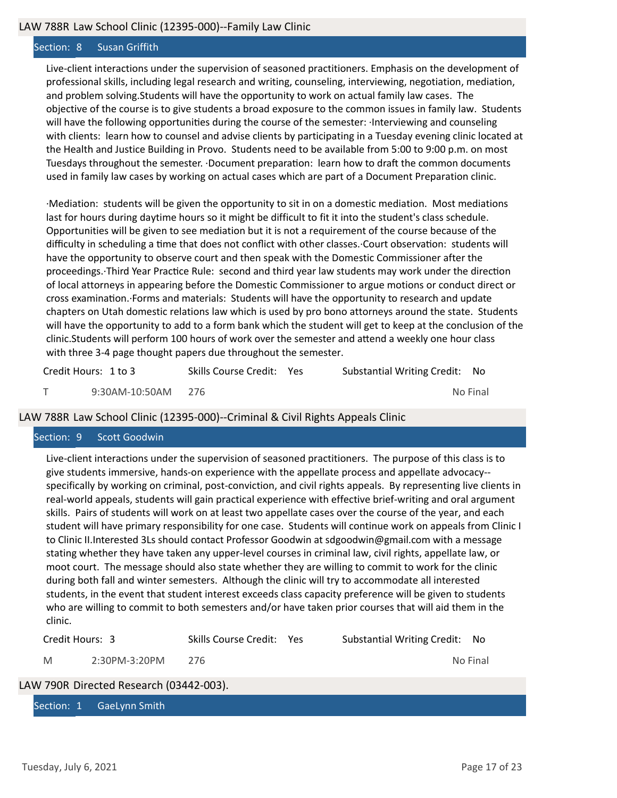#### Section: 8 Susan Griffith

Live‐client interactions under the supervision of seasoned practitioners. Emphasis on the development of professional skills, including legal research and writing, counseling, interviewing, negotiation, mediation, and problem solving.Students will have the opportunity to work on actual family law cases. The objective of the course is to give students a broad exposure to the common issues in family law. Students will have the following opportunities during the course of the semester: · Interviewing and counseling with clients: learn how to counsel and advise clients by participating in a Tuesday evening clinic located at the Health and Justice Building in Provo. Students need to be available from 5:00 to 9:00 p.m. on most Tuesdays throughout the semester. ·Document preparation: learn how to draft the common documents used in family law cases by working on actual cases which are part of a Document Preparation clinic.

·Mediation: students will be given the opportunity to sit in on a domestic mediation. Most mediations last for hours during daytime hours so it might be difficult to fit it into the student's class schedule. Opportunities will be given to see mediation but it is not a requirement of the course because of the difficulty in scheduling a time that does not conflict with other classes. Court observation: students will have the opportunity to observe court and then speak with the Domestic Commissioner after the proceedings. Third Year Practice Rule: second and third year law students may work under the direction of local attorneys in appearing before the Domestic Commissioner to argue motions or conduct direct or cross examinaƟon.·Forms and materials: Students will have the opportunity to research and update chapters on Utah domestic relations law which is used by pro bono attorneys around the state. Students will have the opportunity to add to a form bank which the student will get to keep at the conclusion of the clinic.Students will perform 100 hours of work over the semester and attend a weekly one hour class with three 3-4 page thought papers due throughout the semester.

| Credit Hours: 1 to 3 | Skills Course Credit: Yes | Substantial Writing Credit: No |  |
|----------------------|---------------------------|--------------------------------|--|
| 9:30AM-10:50AM 276   |                           | No Final                       |  |

#### LAW 788R Law School Clinic (12395‐000)‐‐Criminal & Civil Rights Appeals Clinic

#### Section: 9 Scott Goodwin

Live‐client interactions under the supervision of seasoned practitioners. The purpose of this class is to give students immersive, hands‐on experience with the appellate process and appellate advocacy‐‐ specifically by working on criminal, post-conviction, and civil rights appeals. By representing live clients in real‐world appeals, students will gain practical experience with effective brief‐writing and oral argument skills. Pairs of students will work on at least two appellate cases over the course of the year, and each student will have primary responsibility for one case. Students will continue work on appeals from Clinic I to Clinic II.Interested 3Ls should contact Professor Goodwin at sdgoodwin@gmail.com with a message stating whether they have taken any upper‐level courses in criminal law, civil rights, appellate law, or moot court. The message should also state whether they are willing to commit to work for the clinic during both fall and winter semesters. Although the clinic will try to accommodate all interested students, in the event that student interest exceeds class capacity preference will be given to students who are willing to commit to both semesters and/or have taken prior courses that will aid them in the clinic.

| Credit Hours: 3 |               | Skills Course Credit: Yes | Substantial Writing Credit: No |          |  |
|-----------------|---------------|---------------------------|--------------------------------|----------|--|
| M               | 2:30PM-3:20PM | 276                       |                                | No Final |  |

## LAW 790R Directed Research (03442‐003).

Section: 1 GaeLynn Smith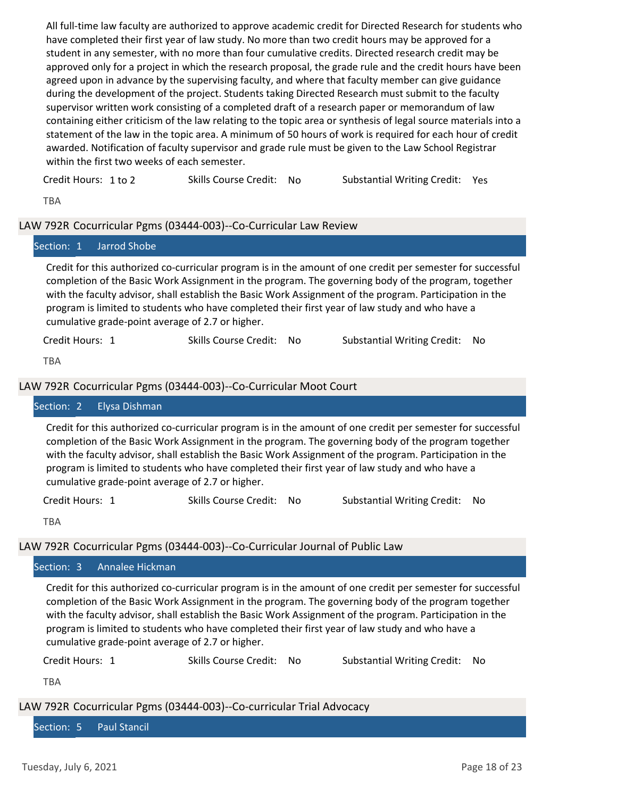All full‐time law faculty are authorized to approve academic credit for Directed Research for students who have completed their first year of law study. No more than two credit hours may be approved for a student in any semester, with no more than four cumulative credits. Directed research credit may be approved only for a project in which the research proposal, the grade rule and the credit hours have been agreed upon in advance by the supervising faculty, and where that faculty member can give guidance during the development of the project. Students taking Directed Research must submit to the faculty supervisor written work consisting of a completed draft of a research paper or memorandum of law containing either criticism of the law relating to the topic area or synthesis of legal source materials into a statement of the law in the topic area. A minimum of 50 hours of work is required for each hour of credit awarded. Notification of faculty supervisor and grade rule must be given to the Law School Registrar within the first two weeks of each semester.

Credit Hours: 1 to 2 Skills Course Credit: No Substantial Writing Credit: Yes

TBA

## LAW 792R Cocurricular Pgms (03444‐003)‐‐Co‐Curricular Law Review

|                 | Section: 1 Jarrod Shobe                          |                          |                                                                                                                                                                                                                                                                                                                                                                                                                                  |  |
|-----------------|--------------------------------------------------|--------------------------|----------------------------------------------------------------------------------------------------------------------------------------------------------------------------------------------------------------------------------------------------------------------------------------------------------------------------------------------------------------------------------------------------------------------------------|--|
|                 | cumulative grade-point average of 2.7 or higher. |                          | Credit for this authorized co-curricular program is in the amount of one credit per semester for successful<br>completion of the Basic Work Assignment in the program. The governing body of the program, together<br>with the faculty advisor, shall establish the Basic Work Assignment of the program. Participation in the<br>program is limited to students who have completed their first year of law study and who have a |  |
| Credit Hours: 1 |                                                  | Skills Course Credit: No | Substantial Writing Credit: No                                                                                                                                                                                                                                                                                                                                                                                                   |  |
| ᅲᇊᅀ             |                                                  |                          |                                                                                                                                                                                                                                                                                                                                                                                                                                  |  |

TBA

#### LAW 792R Cocurricular Pgms (03444‐003)‐‐Co‐Curricular Moot Court

#### Section: 2 Elysa Dishman

Credit for this authorized co‐curricular program is in the amount of one credit per semester for successful completion of the Basic Work Assignment in the program. The governing body of the program together with the faculty advisor, shall establish the Basic Work Assignment of the program. Participation in the program is limited to students who have completed their first year of law study and who have a cumulative grade‐point average of 2.7 or higher.

Credit Hours: 1 Skills Course Credit: No Substantial Writing Credit: No

TBA

LAW 792R Cocurricular Pgms (03444‐003)‐‐Co‐Curricular Journal of Public Law

#### Section: 3 Annalee Hickman

Credit for this authorized co‐curricular program is in the amount of one credit per semester for successful completion of the Basic Work Assignment in the program. The governing body of the program together with the faculty advisor, shall establish the Basic Work Assignment of the program. Participation in the program is limited to students who have completed their first year of law study and who have a cumulative grade‐point average of 2.7 or higher.

Credit Hours: 1 Skills Course Credit: No Substantial Writing Credit: No

TBA

LAW 792R Cocurricular Pgms (03444‐003)‐‐Co‐curricular Trial Advocacy

Section: 5 Paul Stancil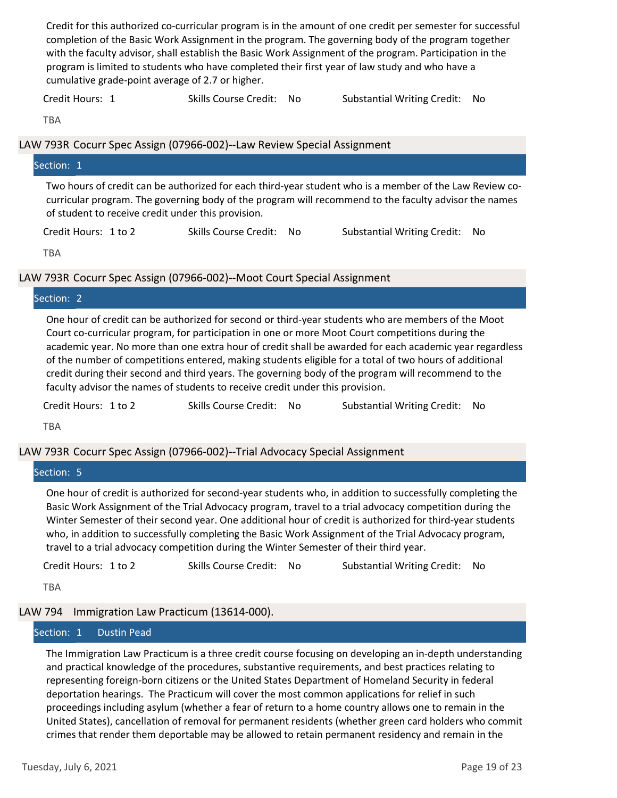Credit for this authorized co‐curricular program is in the amount of one credit per semester for successful completion of the Basic Work Assignment in the program. The governing body of the program together with the faculty advisor, shall establish the Basic Work Assignment of the program. Participation in the program is limited to students who have completed their first year of law study and who have a cumulative grade‐point average of 2.7 or higher.

Credit Hours: 1 The Skills Course Credit: No Substantial Writing Credit: No

**TRA** 

#### LAW 793R Cocurr Spec Assign (07966‐002)‐‐Law Review Special Assignment

| Section: 1                                         |                          |                                                                                                                                                                                                                  |  |
|----------------------------------------------------|--------------------------|------------------------------------------------------------------------------------------------------------------------------------------------------------------------------------------------------------------|--|
| of student to receive credit under this provision. |                          | Two hours of credit can be authorized for each third-year student who is a member of the Law Review co-<br>curricular program. The governing body of the program will recommend to the faculty advisor the names |  |
| Credit Hours: 1 to 2                               | Skills Course Credit: No | Substantial Writing Credit: No                                                                                                                                                                                   |  |

TBA

## LAW 793R Cocurr Spec Assign (07966‐002)‐‐Moot Court Special Assignment

#### Section: 2

One hour of credit can be authorized for second or third‐year students who are members of the Moot Court co-curricular program, for participation in one or more Moot Court competitions during the academic year. No more than one extra hour of credit shall be awarded for each academic year regardless of the number of competitions entered, making students eligible for a total of two hours of additional credit during their second and third years. The governing body of the program will recommend to the faculty advisor the names of students to receive credit under this provision.

Credit Hours: 1 to 2 Skills Course Credit: No Substantial Writing Credit: No

TBA

# LAW 793R Cocurr Spec Assign (07966‐002)‐‐Trial Advocacy Special Assignment

#### Section: 5

One hour of credit is authorized for second‐year students who, in addition to successfully completing the Basic Work Assignment of the Trial Advocacy program, travel to a trial advocacy competition during the Winter Semester of their second year. One additional hour of credit is authorized for third‐year students who, in addition to successfully completing the Basic Work Assignment of the Trial Advocacy program, travel to a trial advocacy competition during the Winter Semester of their third year.

| Substantial Writing Credit: No<br>Skills Course Credit: No<br>Credit Hours: 1 to 2 |  |
|------------------------------------------------------------------------------------|--|
|------------------------------------------------------------------------------------|--|

TBA

# LAW 794 Immigration Law Practicum (13614‐000).

# Section: 1 Dustin Pead

The Immigration Law Practicum is a three credit course focusing on developing an in‐depth understanding and practical knowledge of the procedures, substantive requirements, and best practices relating to representing foreign‐born citizens or the United States Department of Homeland Security in federal deportation hearings. The Practicum will cover the most common applications for relief in such proceedings including asylum (whether a fear of return to a home country allows one to remain in the United States), cancellation of removal for permanent residents (whether green card holders who commit crimes that render them deportable may be allowed to retain permanent residency and remain in the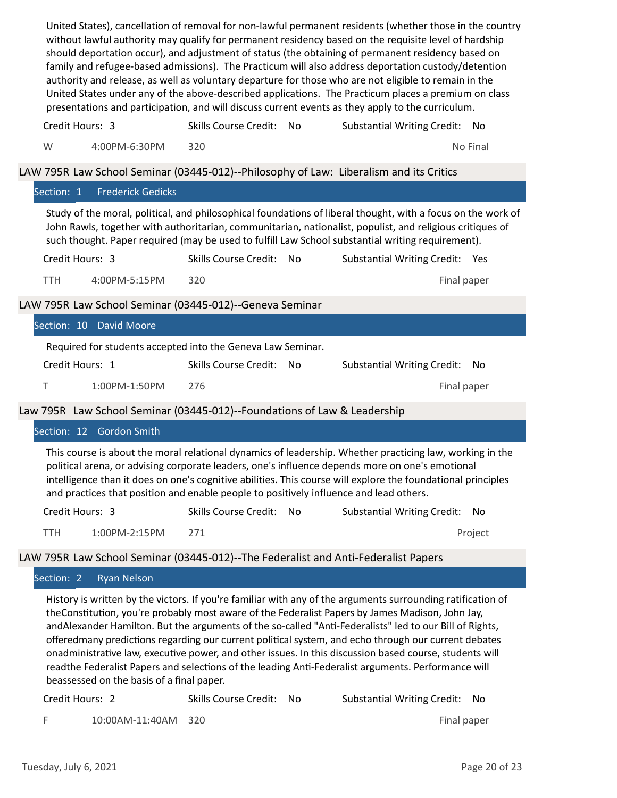United States), cancellation of removal for non‐lawful permanent residents (whether those in the country without lawful authority may qualify for permanent residency based on the requisite level of hardship should deportation occur), and adjustment of status (the obtaining of permanent residency based on family and refugee-based admissions). The Practicum will also address deportation custody/detention authority and release, as well as voluntary departure for those who are not eligible to remain in the United States under any of the above‐described applications. The Practicum places a premium on class presentations and participation, and will discuss current events as they apply to the curriculum.

W 4:00PM-6:30PM 320 Alexander 200 Alexander 200 Alexander 200 Alexander 200 Alexander 200 Alexander 200 Alexander 200 Alexander 200 Alexander 200 Alexander 200 Alexander 200 Alexander 200 Alexander 200 Alexander 200 Alexan Credit Hours: 3 Skills Course Credit: No Substantial Writing Credit: No

LAW 795R Law School Seminar (03445-012)--Philosophy of Law: Liberalism and its Critics

#### Section: 1 Frederick Gedicks

Study of the moral, political, and philosophical foundations of liberal thought, with a focus on the work of John Rawls, together with authoritarian, communitarian, nationalist, populist, and religious critiques of such thought. Paper required (may be used to fulfill Law School substantial writing requirement).

| Credit Hours: 3 |               | Skills Course Credit: No | Substantial Writing Credit: Yes |             |  |
|-----------------|---------------|--------------------------|---------------------------------|-------------|--|
| TTH.            | 4:00PM-5:15PM | 320                      |                                 | Final paper |  |

LAW 795R Law School Seminar (03445‐012)‐‐Geneva Seminar

|                 | Section: 10 David Moore                                     |                                                                          |                          |  |                                |  |  |
|-----------------|-------------------------------------------------------------|--------------------------------------------------------------------------|--------------------------|--|--------------------------------|--|--|
|                 | Required for students accepted into the Geneva Law Seminar. |                                                                          |                          |  |                                |  |  |
| Credit Hours: 1 |                                                             |                                                                          | Skills Course Credit: No |  | Substantial Writing Credit: No |  |  |
|                 |                                                             | 1:00PM-1:50PM                                                            | 276                      |  | Final paper                    |  |  |
|                 |                                                             | Law 795R Law School Seminar (03445-012)--Foundations of Law & Leadership |                          |  |                                |  |  |
|                 |                                                             | Section: 12 Gordon Smith                                                 |                          |  |                                |  |  |

This course is about the moral relational dynamics of leadership. Whether practicing law, working in the political arena, or advising corporate leaders, one's influence depends more on one's emotional intelligence than it does on one's cognitive abilities. This course will explore the foundational principles and practices that position and enable people to positively influence and lead others.

| Credit Hours: 3 |               | Skills Course Credit: No | Substantial Writing Credit: No |         |
|-----------------|---------------|--------------------------|--------------------------------|---------|
| TTH.            | 1:00PM-2:15PM |                          |                                | Project |

## LAW 795R Law School Seminar (03445‐012)‐‐The Federalist and Anti‐Federalist Papers

## Section: 2 Ryan Nelson

History is written by the victors. If you're familiar with any of the arguments surrounding ratification of theConstitution, you're probably most aware of the Federalist Papers by James Madison, John Jay, andAlexander Hamilton. But the arguments of the so-called "Anti-Federalists" led to our Bill of Rights, offeredmany predictions regarding our current political system, and echo through our current debates onadministrative law, executive power, and other issues. In this discussion based course, students will readthe Federalist Papers and selections of the leading Anti-Federalist arguments. Performance will beassessed on the basis of a final paper.

| Credit Hours: 2 |                     | Skills Course Credit: No | Substantial Writing Credit: No |  |
|-----------------|---------------------|--------------------------|--------------------------------|--|
|                 | 10:00AM-11:40AM 320 |                          | Final paper                    |  |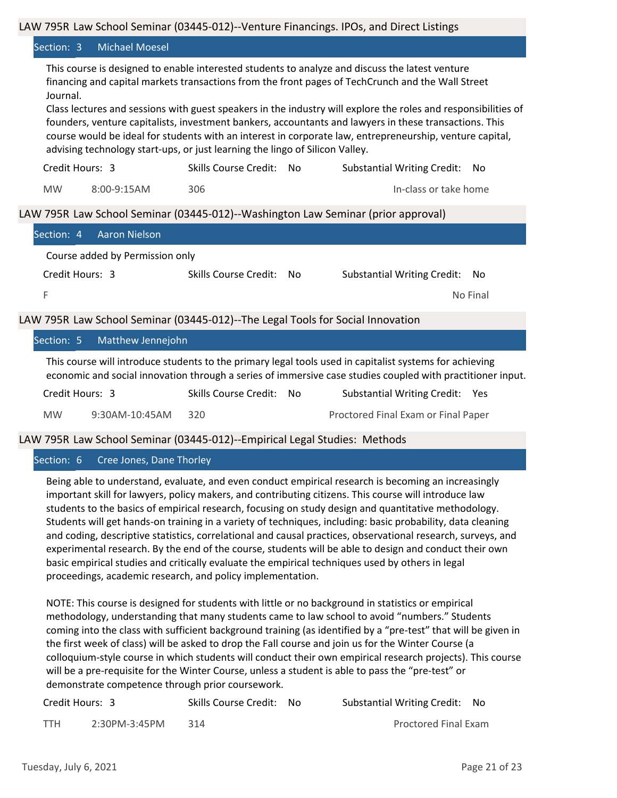#### LAW 795R Law School Seminar (03445-012)--Venture Financings. IPOs, and Direct Listings

#### Section: 3 Michael Moesel

This course is designed to enable interested students to analyze and discuss the latest venture financing and capital markets transactions from the front pages of TechCrunch and the Wall Street Journal.

Class lectures and sessions with guest speakers in the industry will explore the roles and responsibilities of founders, venture capitalists, investment bankers, accountants and lawyers in these transactions. This course would be ideal for students with an interest in corporate law, entrepreneurship, venture capital, advising technology start‐ups, or just learning the lingo of Silicon Valley.

| Credit Hours: 3 |             | Skills Course Credit: | – No | Substantial Writing Credit: No |
|-----------------|-------------|-----------------------|------|--------------------------------|
| <b>MW</b>       | 8:00-9:15AM | 306.                  |      | In-class or take home          |

## LAW 795R Law School Seminar (03445-012)--Washington Law Seminar (prior approval)

| Section: 4 Aaron Nielson                                                                                                                                                                                              |                                                                                |                                           |  |  |
|-----------------------------------------------------------------------------------------------------------------------------------------------------------------------------------------------------------------------|--------------------------------------------------------------------------------|-------------------------------------------|--|--|
| Course added by Permission only                                                                                                                                                                                       |                                                                                |                                           |  |  |
| Credit Hours: 3                                                                                                                                                                                                       | Skills Course Credit: No                                                       | <b>Substantial Writing Credit:</b><br>No. |  |  |
| F                                                                                                                                                                                                                     |                                                                                | No Final                                  |  |  |
|                                                                                                                                                                                                                       | LAW 795R Law School Seminar (03445-012)--The Legal Tools for Social Innovation |                                           |  |  |
| Matthew Jennejohn<br>Section: 5                                                                                                                                                                                       |                                                                                |                                           |  |  |
| This course will introduce students to the primary legal tools used in capitalist systems for achieving<br>economic and social innovation through a series of immersive case studies coupled with practitioner input. |                                                                                |                                           |  |  |

| Credit Hours: 3 |                | Skills Course Credit: No | Substantial Writing Credit: Yes     |
|-----------------|----------------|--------------------------|-------------------------------------|
| <b>MW</b>       | 9:30AM-10:45AM | -320                     | Proctored Final Exam or Final Paper |

LAW 795R Law School Seminar (03445‐012)‐‐Empirical Legal Studies: Methods

## Section: 6 Cree Jones, Dane Thorley

Being able to understand, evaluate, and even conduct empirical research is becoming an increasingly important skill for lawyers, policy makers, and contributing citizens. This course will introduce law students to the basics of empirical research, focusing on study design and quantitative methodology. Students will get hands‐on training in a variety of techniques, including: basic probability, data cleaning and coding, descriptive statistics, correlational and causal practices, observational research, surveys, and experimental research. By the end of the course, students will be able to design and conduct their own basic empirical studies and critically evaluate the empirical techniques used by others in legal proceedings, academic research, and policy implementation.

NOTE: This course is designed for students with little or no background in statistics or empirical methodology, understanding that many students came to law school to avoid "numbers." Students coming into the class with sufficient background training (as identified by a "pre‐test" that will be given in the first week of class) will be asked to drop the Fall course and join us for the Winter Course (a colloquium‐style course in which students will conduct their own empirical research projects). This course will be a pre-requisite for the Winter Course, unless a student is able to pass the "pre-test" or demonstrate competence through prior coursework.

| Credit Hours: 3 |               | Skills Course Credit: No | Substantial Writing Credit: No |
|-----------------|---------------|--------------------------|--------------------------------|
| <b>TTH</b>      | 2:30PM-3:45PM | -314                     | Proctored Final Exam           |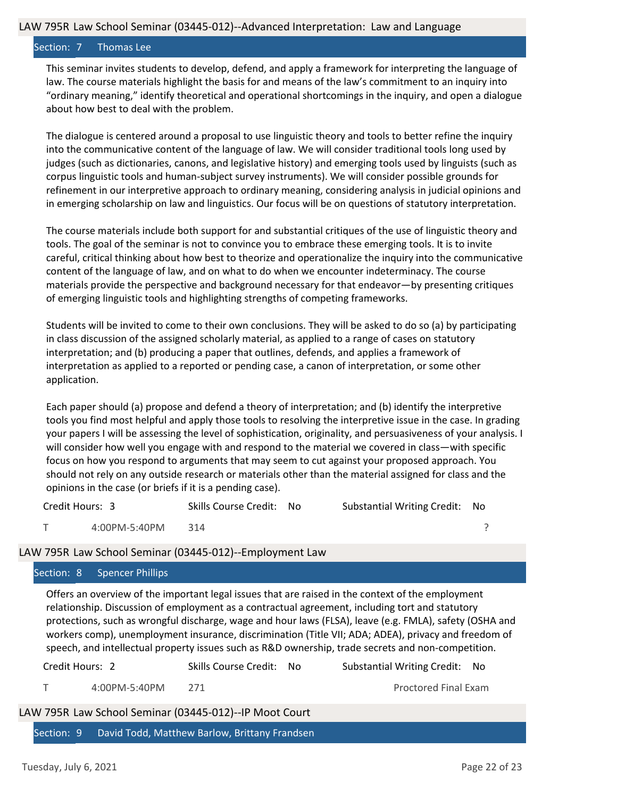#### Section: 7 Thomas Lee

This seminar invites students to develop, defend, and apply a framework for interpreting the language of law. The course materials highlight the basis for and means of the law's commitment to an inquiry into "ordinary meaning," identify theoretical and operational shortcomings in the inquiry, and open a dialogue about how best to deal with the problem.

The dialogue is centered around a proposal to use linguistic theory and tools to better refine the inquiry into the communicative content of the language of law. We will consider traditional tools long used by judges (such as dictionaries, canons, and legislative history) and emerging tools used by linguists (such as corpus linguistic tools and human‐subject survey instruments). We will consider possible grounds for refinement in our interpretive approach to ordinary meaning, considering analysis in judicial opinions and in emerging scholarship on law and linguistics. Our focus will be on questions of statutory interpretation.

The course materials include both support for and substantial critiques of the use of linguistic theory and tools. The goal of the seminar is not to convince you to embrace these emerging tools. It is to invite careful, critical thinking about how best to theorize and operationalize the inquiry into the communicative content of the language of law, and on what to do when we encounter indeterminacy. The course materials provide the perspective and background necessary for that endeavor—by presenting critiques of emerging linguistic tools and highlighting strengths of competing frameworks.

Students will be invited to come to their own conclusions. They will be asked to do so (a) by participating in class discussion of the assigned scholarly material, as applied to a range of cases on statutory interpretation; and (b) producing a paper that outlines, defends, and applies a framework of interpretation as applied to a reported or pending case, a canon of interpretation, or some other application.

Each paper should (a) propose and defend a theory of interpretation; and (b) identify the interpretive tools you find most helpful and apply those tools to resolving the interpretive issue in the case. In grading your papers I will be assessing the level of sophistication, originality, and persuasiveness of your analysis. I will consider how well you engage with and respond to the material we covered in class—with specific focus on how you respond to arguments that may seem to cut against your proposed approach. You should not rely on any outside research or materials other than the material assigned for class and the opinions in the case (or briefs if it is a pending case).

| Credit Hours: 3 |               | Skills Course Credit: No |  | Substantial Writing Credit: No |  |
|-----------------|---------------|--------------------------|--|--------------------------------|--|
|                 | 4:00PM-5:40PM | 314                      |  |                                |  |

## LAW 795R Law School Seminar (03445‐012)‐‐Employment Law

## Section: 8 Spencer Phillips

Offers an overview of the important legal issues that are raised in the context of the employment relationship. Discussion of employment as a contractual agreement, including tort and statutory protections, such as wrongful discharge, wage and hour laws (FLSA), leave (e.g. FMLA), safety (OSHA and workers comp), unemployment insurance, discrimination (Title VII; ADA; ADEA), privacy and freedom of speech, and intellectual property issues such as R&D ownership, trade secrets and non-competition.

| Credit Hours: 2                                        |               | Skills Course Credit: No                                 | Substantial Writing Credit: No |  |  |  |
|--------------------------------------------------------|---------------|----------------------------------------------------------|--------------------------------|--|--|--|
|                                                        | 4:00PM-5:40PM | -271                                                     | Proctored Final Exam           |  |  |  |
| LAW 795R Law School Seminar (03445-012)--IP Moot Court |               |                                                          |                                |  |  |  |
|                                                        |               | Section: 9 David Todd, Matthew Barlow, Brittany Frandsen |                                |  |  |  |
|                                                        |               |                                                          |                                |  |  |  |